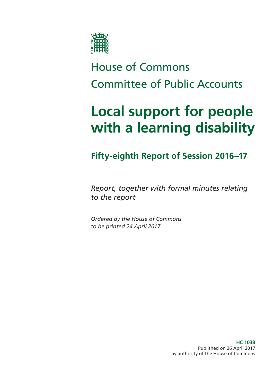

# House of Commons Committee of Public Accounts

# **Local support for people with a learning disability**

### **Fifty-eighth Report of Session 2016–17**

*Report, together with formal minutes relating to the report*

*Ordered by the House of Commons to be printed 24 April 2017*

> **HC 1038** Published on 26 April 2017 by authority of the House of Commons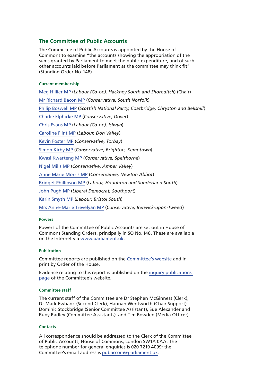#### **The Committee of Public Accounts**

The Committee of Public Accounts is appointed by the House of Commons to examine "the accounts showing the appropriation of the sums granted by Parliament to meet the public expenditure, and of such other accounts laid before Parliament as the committee may think fit" (Standing Order No.148).

#### **Current membership**

[Meg Hillier MP](http://www.parliament.uk/biographies/commons/meg-hillier/1524) (*Labour (Co-op), Hackney South and Shoreditch*) (Chair) [Mr Richard Bacon MP](http://www.parliament.uk/biographies/commons/mr-richard-bacon/1451) (*Conservative, South Norfolk*) [Philip Boswell MP](https://www.parliament.uk/biographies/commons/philip-boswell/4388) (*Scottish National Party, Coatbridge, Chryston and Bellshill*) [Charlie Elphicke MP](https://www.parliament.uk/biographies/commons/Charlie-Elphicke/3971) (*Conservative, Dover*) [Chris Evans MP](http://www.parliament.uk/biographies/commons/chris-evans/4040) (*Labour (Co-op), Islwyn*) [Caroline Flint MP](http://www.parliament.uk/biographies/commons/caroline-flint/389) (*Labour, Don Valley*) [Kevin Foster MP](http://www.parliament.uk/biographies/commons/kevin-foster/4451) (*Conservative, Torbay*) [Simon Kirby MP](https://www.parliament.uk/biographies/commons/simon-kirby/3929) (*Conservative, Brighton, Kemptown*) [Kwasi Kwarteng MP](https://www.parliament.uk/biographies/commons/kwasi-kwarteng/4134) (*Conservative, Spelthorne*) [Nigel Mills MP](http://www.parliament.uk/biographies/commons/nigel-mills/4136) (*Conservative, Amber Valley*) [Anne Marie Morris MP](https://www.parliament.uk/biographies/commons/anne-marie-morris/4249) (*Conservative, Newton Abbot*) [Bridget Phillipson MP](http://www.parliament.uk/biographies/commons/bridget-phillipson/4046) (*Labour, Houghton and Sunderland South*) [John Pugh MP](http://www.parliament.uk/biographies/commons/john-pugh/1454) (*Liberal Democrat, Southport*) [Karin Smyth MP](http://www.parliament.uk/biographies/commons/karin-smyth/4444) (*Labour, Bristol South*) [Mrs Anne-Marie Trevelyan MP](http://www.parliament.uk/biographies/commons/mrs-anne-marie-trevelyan/4531) (*Conservative, Berwick-upon-Tweed*)

#### **Powers**

Powers of the Committee of Public Accounts are set out in House of Commons Standing Orders, principally in SO No.148. These are available on the Internet via [www.parliament.uk.](http://www.parliament.uk)

#### **Publication**

Committee reports are published on the [Committee's website](http://www.parliament.uk/business/committees/committees-a-z/commons-select/public-accounts-committee/) and in print by Order of the House.

Evidence relating to this report is published on the [inquiry publications](https://www.parliament.uk/business/committees/committees-a-z/commons-select/public-accounts-committee/inquiries/parliament-2015/care-learning-disabilities-16-17/publications/)  [page](https://www.parliament.uk/business/committees/committees-a-z/commons-select/public-accounts-committee/inquiries/parliament-2015/care-learning-disabilities-16-17/publications/) of the Committee's website.

#### **Committee staff**

The current staff of the Committee are Dr Stephen McGinness (Clerk), Dr Mark Ewbank (Second Clerk), Hannah Wentworth (Chair Support), Dominic Stockbridge (Senior Committee Assistant), Sue Alexander and Ruby Radley (Committee Assistants), and Tim Bowden (Media Officer).

#### **Contacts**

All correspondence should be addressed to the Clerk of the Committee of Public Accounts, House of Commons, London SW1A 0AA. The telephone number for general enquiries is 020 7219 4099; the Committee's email address is [pubaccom@parliament.uk.](mailto:pubaccom@parliament.uk)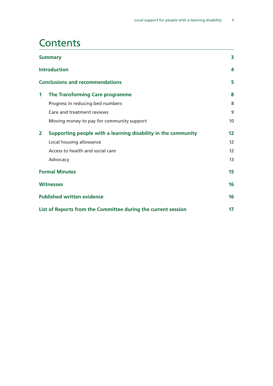### **Contents**

| <b>Summary</b>        |                                                               | 3                 |
|-----------------------|---------------------------------------------------------------|-------------------|
|                       | <b>Introduction</b>                                           | 4                 |
|                       | <b>Conclusions and recommendations</b>                        | 5                 |
| $\mathbf 1$           | The Transforming Care programme                               | 8                 |
|                       | Progress in reducing bed numbers                              | 8                 |
|                       | Care and treatment reviews                                    | 9                 |
|                       | Moving money to pay for community support                     | 10 <sup>°</sup>   |
| $\mathbf{2}$          | Supporting people with a learning disability in the community | 12                |
|                       | Local housing allowance                                       | 12                |
|                       | Access to health and social care                              | $12 \overline{ }$ |
|                       | Advocacy                                                      | 13                |
| <b>Formal Minutes</b> |                                                               | 15                |
|                       | <b>Witnesses</b>                                              |                   |
|                       | <b>Published written evidence</b>                             | 16                |
|                       | List of Reports from the Committee during the current session | 17                |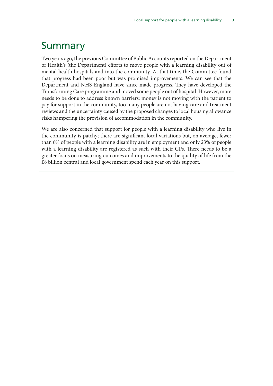### <span id="page-4-0"></span>Summary

Two years ago, the previous Committee of Public Accounts reported on the Department of Health's (the Department) efforts to move people with a learning disability out of mental health hospitals and into the community. At that time, the Committee found that progress had been poor but was promised improvements. We can see that the Department and NHS England have since made progress. They have developed the Transforming Care programme and moved some people out of hospital. However, more needs to be done to address known barriers: money is not moving with the patient to pay for support in the community, too many people are not having care and treatment reviews and the uncertainty caused by the proposed changes to local housing allowance risks hampering the provision of accommodation in the community.

We are also concerned that support for people with a learning disability who live in the community is patchy; there are significant local variations but, on average, fewer than 6% of people with a learning disability are in employment and only 23% of people with a learning disability are registered as such with their GPs. There needs to be a greater focus on measuring outcomes and improvements to the quality of life from the £8 billion central and local government spend each year on this support.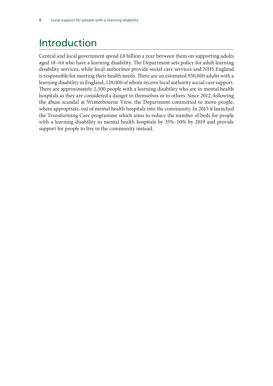# <span id="page-5-0"></span>Introduction

Central and local government spend £8 billion a year between them on supporting adults aged 18–64 who have a learning disability. The Department sets policy for adult learning disability services, while local authorities provide social care services and NHS England is responsible for meeting their health needs. There are an estimated 930,000 adults with a learning disability in England, 129,000 of whom receive local authority social care support. There are approximately 2,500 people with a learning disability who are in mental health hospitals as they are considered a danger to themselves or to others. Since 2012, following the abuse scandal at Winterbourne View, the Department committed to move people, where appropriate, out of mental health hospitals into the community. In 2015 it launched the Transforming Care programme which aims to reduce the number of beds for people with a learning disability in mental health hospitals by 35%–50% by 2019 and provide support for people to live in the community instead.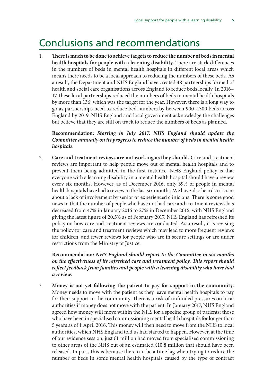### <span id="page-6-0"></span>Conclusions and recommendations

1. **There is much to be done to achieve targets to reduce the number of beds in mental health hospitals for people with a learning disability.** There are stark differences in the numbers of beds in mental health hospitals in different local areas which means there needs to be a local approach to reducing the numbers of these beds. As a result, the Department and NHS England have created 48 partnerships formed of health and social care organisations across England to reduce beds locally. In 2016– 17, these local partnerships reduced the numbers of beds in mental health hospitals by more than 136, which was the target for the year. However, there is a long way to go as partnerships need to reduce bed numbers by between 900–1300 beds across England by 2019. NHS England and local government acknowledge the challenges but believe that they are still on track to reduce the numbers of beds as planned.

**Recommendation:** *Starting in July 2017, NHS England should update the Committee annually on its progress to reduce the number of beds in mental health hospitals.*

2. **Care and treatment reviews are not working as they should.** Care and treatment reviews are important to help people move out of mental health hospitals and to prevent them being admitted in the first instance. NHS England policy is that everyone with a learning disability in a mental health hospital should have a review every six months. However, as of December 2016, only 39% of people in mental health hospitals have had a review in the last six months. We have also heard criticism about a lack of involvement by senior or experienced clinicians. There is some good news in that the number of people who have not had care and treatment reviews has decreased from 47% in January 2016 to 27% in December 2016, with NHS England giving the latest figure of 20.5% as of February 2017. NHS England has refreshed its policy on how care and treatment reviews are conducted. As a result, it is revising the policy for care and treatment reviews which may lead to more frequent reviews for children, and fewer reviews for people who are in secure settings or are under restrictions from the Ministry of Justice.

**Recommendation:** *NHS England should report to the Committee in six months on the effectiveness of its refreshed care and treatment policy. This report should reflect feedback from families and people with a learning disability who have had a review.*

3. **Money is not yet following the patient to pay for support in the community.** Money needs to move with the patient as they leave mental health hospitals to pay for their support in the community. There is a risk of unfunded pressures on local authorities if money does not move with the patient. In January 2017, NHS England agreed how money will move within the NHS for a specific group of patients: those who have been in specialised commissioning mental health hospitals for longer than 5 years as of 1 April 2016. This money will then need to move from the NHS to local authorities, which NHS England told us had started to happen. However, at the time of our evidence session, just £1 million had moved from specialised commissioning to other areas of the NHS out of an estimated £10.8 million that should have been released. In part, this is because there can be a time lag when trying to reduce the number of beds in some mental health hospitals caused by the type of contract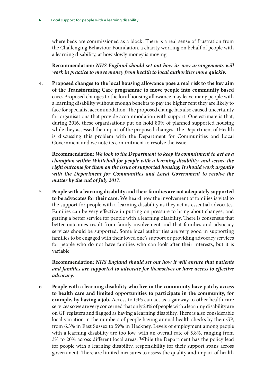where beds are commissioned as a block. There is a real sense of frustration from the Challenging Behaviour Foundation, a charity working on behalf of people with a learning disability, at how slowly money is moving.

**Recommendation:** *NHS England should set out how its new arrangements will work in practice to move money from health to local authorities more quickly.*

4. **Proposed changes to the local housing allowance pose a real risk to the key aim of the Transforming Care programme to move people into community based care.** Proposed changes to the local housing allowance may leave many people with a learning disability without enough benefits to pay the higher rent they are likely to face for specialist accommodation. The proposed change has also caused uncertainty for organisations that provide accommodation with support. One estimate is that, during 2016, these organisations put on hold 80% of planned supported housing while they assessed the impact of the proposed changes. The Department of Health is discussing this problem with the Department for Communities and Local Government and we note its commitment to resolve the issue.

**Recommendation:** *We look to the Department to keep its commitment to act as a champion within Whitehall for people with a learning disability, and secure the right outcome for them on the issue of supported housing. It should work urgently with the Department for Communities and Local Government to resolve the matter by the end of July 2017.*

5. **People with a learning disability and their families are not adequately supported to be advocates for their care.** We heard how the involvement of families is vital to the support for people with a learning disability as they act as essential advocates. Families can be very effective in putting on pressure to bring about changes, and getting a better service for people with a learning disability. There is consensus that better outcomes result from family involvement and that families and advocacy services should be supported. Some local authorities are very good in supporting families to be engaged with their loved one's support or providing advocacy services for people who do not have families who can look after their interests, but it is variable.

**Recommendation:** *NHS England should set out how it will ensure that patients and families are supported to advocate for themselves or have access to effective advocacy.*

6. **People with a learning disability who live in the community have patchy access to health care and limited opportunities to participate in the community, for example, by having a job.** Access to GPs can act as a gateway to other health care services so we are very concerned that only 23% of people with a learning disability are on GP registers and flagged as having a learning disability. There is also considerable local variation in the numbers of people having annual health checks by their GP, from 6.3% in East Sussex to 59% in Hackney. Levels of employment among people with a learning disability are too low, with an overall rate of 5.8%, ranging from 3% to 20% across different local areas. While the Department has the policy lead for people with a learning disability, responsibility for their support spans across government. There are limited measures to assess the quality and impact of health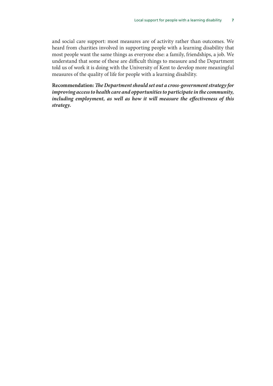and social care support: most measures are of activity rather than outcomes. We heard from charities involved in supporting people with a learning disability that most people want the same things as everyone else: a family, friendships, a job. We understand that some of these are difficult things to measure and the Department told us of work it is doing with the University of Kent to develop more meaningful measures of the quality of life for people with a learning disability.

**Recommendation:** *The Department should set out a cross-government strategy for improving access to health care and opportunities to participate in the community, including employment, as well as how it will measure the effectiveness of this strategy.*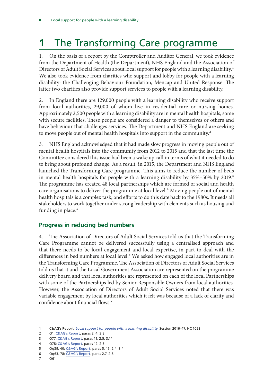# <span id="page-9-0"></span>**1** The Transforming Care programme

1. On the basis of a report by the Comptroller and Auditor General, we took evidence from the Department of Health (the Department), NHS England and the Association of Directors of Adult Social Services about local support for people with a learning disability.<sup>1</sup> We also took evidence from charities who support and lobby for people with a learning disability: the Challenging Behaviour Foundation, Mencap and United Response. The latter two charities also provide support services to people with a learning disability.

2. In England there are 129,000 people with a learning disability who receive support from local authorities, 29,000 of whom live in residential care or nursing homes. Approximately 2,500 people with a learning disability are in mental health hospitals, some with secure facilities. These people are considered a danger to themselves or others and have behaviour that challenges services. The Department and NHS England are seeking to move people out of mental health hospitals into support in the community.<sup>2</sup>

3. NHS England acknowledged that it had made slow progress in moving people out of mental health hospitals into the community from 2012 to 2015 and that the last time the Committee considered this issue had been a wake up call in terms of what it needed to do to bring about profound change. As a result, in 2015, the Department and NHS England launched the Transforming Care programme. This aims to reduce the number of beds in mental health hospitals for people with a learning disability by 35%–50% by 2019.<sup>3</sup> The programme has created 48 local partnerships which are formed of social and health care organisations to deliver the programme at local level.<sup>4</sup> Moving people out of mental health hospitals is a complex task, and efforts to do this date back to the 1980s. It needs all stakeholders to work together under strong leadership with elements such as housing and funding in place.<sup>5</sup>

#### **Progress in reducing bed numbers**

4. The Association of Directors of Adult Social Services told us that the Transforming Care Programme cannot be delivered successfully using a centralised approach and that there needs to be local engagement and local expertise, in part to deal with the differences in bed numbers at local level.<sup>6</sup> We asked how engaged local authorities are in the Transforming Care Programme. The Association of Directors of Adult Social Services told us that it and the Local Government Association are represented on the programme delivery board and that local authorities are represented on each of the local Partnerships with some of the Partnerships led by Senior Responsible Owners from local authorities. However, the Association of Directors of Adult Social Services noted that there was variable engagement by local authorities which it felt was because of a lack of clarity and confidence about financial flows.7

<sup>1</sup> C&AG's Report, *[Local support for people with a learning disability](https://www.nao.org.uk/report/local-support-for-people-with-a-learning-disability/)*, Session 2016–17, HC 1053

<sup>2</sup> Q1; [C&AG's Report,](https://www.nao.org.uk/report/local-support-for-people-with-a-learning-disability/) paras 2, 4, 3.3

<sup>3</sup> Q77; [C&AG's Report](https://www.nao.org.uk/report/local-support-for-people-with-a-learning-disability/), paras 11, 2.5, 3.14

<sup>4</sup> Q78; [C&AG's Report](https://www.nao.org.uk/report/local-support-for-people-with-a-learning-disability/), paras 12, 2.8

<sup>5</sup> Qq39, 40; [C&AG's Report](https://www.nao.org.uk/report/local-support-for-people-with-a-learning-disability/), paras 5, 15, 2.4, 3.4

<sup>6</sup> Qq63, 78; [C&AG's Report](https://www.nao.org.uk/report/local-support-for-people-with-a-learning-disability/), paras 2.7, 2.8

<sup>7</sup> Q61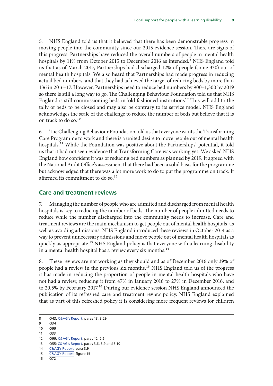<span id="page-10-0"></span>5. NHS England told us that it believed that there has been demonstrable progress in moving people into the community since our 2015 evidence session. There are signs of this progress. Partnerships have reduced the overall numbers of people in mental health hospitals by 11% from October 2015 to December 2016 as intended.<sup>8</sup> NHS England told us that as of March 2017, Partnerships had discharged 12% of people (some 330) out of mental health hospitals. We also heard that Partnerships had made progress in reducing actual bed numbers, and that they had achieved the target of reducing beds by more than 136 in 2016–17. However, Partnerships need to reduce bed numbers by 900–1,300 by 2019 so there is still a long way to go. The Challenging Behaviour Foundation told us that NHS England is still commissioning beds in 'old fashioned institutions'.9 This will add to the tally of beds to be closed and may also be contrary to its service model. NHS England acknowledges the scale of the challenge to reduce the number of beds but believe that it is on track to do so.<sup>10</sup>

6. The Challenging Behaviour Foundation told us that everyone wants the Transforming Care Programme to work and there is a united desire to move people out of mental health hospitals.<sup>11</sup> While the Foundation was positive about the Partnerships' potential, it told us that it had not seen evidence that Transforming Care was working yet. We asked NHS England how confident it was of reducing bed numbers as planned by 2019. It agreed with the National Audit Office's assessment that there had been a solid basis for the programme but acknowledged that there was a lot more work to do to put the programme on track. It affirmed its commitment to do so.<sup>12</sup>

#### **Care and treatment reviews**

7. Managing the number of people who are admitted and discharged from mental health hospitals is key to reducing the number of beds. The number of people admitted needs to reduce while the number discharged into the community needs to increase. Care and treatment reviews are the main mechanism to get people out of mental health hospitals, as well as avoiding admissions. NHS England introduced these reviews in October 2014 as a way to prevent unnecessary admissions and move people out of mental health hospitals as quickly as appropriate.<sup>13</sup> NHS England policy is that everyone with a learning disability in a mental health hospital has a review every six months.<sup>14</sup>

8. These reviews are not working as they should and as of December 2016 only 39% of people had a review in the previous six months.15 NHS England told us of the progress it has made in reducing the proportion of people in mental health hospitals who have not had a review, reducing it from 47% in January 2016 to 27% in December 2016, and to 20.5% by February 2017.<sup>16</sup> During our evidence session NHS England announced the publication of its refreshed care and treatment review policy. NHS England explained that as part of this refreshed policy it is considering more frequent reviews for children

<sup>8</sup> Q43, [C&AG's Report,](https://www.nao.org.uk/report/local-support-for-people-with-a-learning-disability/) paras 13, 3.29

<sup>9</sup> Q34

<sup>10</sup> Q99 11 Q33

<sup>12</sup> Q99; [C&AG's Report,](https://www.nao.org.uk/report/local-support-for-people-with-a-learning-disability/) paras 12, 2.6 13 Q55; [C&AG's Report](https://www.nao.org.uk/report/local-support-for-people-with-a-learning-disability/), paras 3.6, 3.9 and 3.10

<sup>14</sup> [C&AG's Report,](https://www.nao.org.uk/report/local-support-for-people-with-a-learning-disability/) para 3.9

<sup>15</sup> [C&AG's Report,](https://www.nao.org.uk/report/local-support-for-people-with-a-learning-disability/) figure 15

 $16 \overline{O}72$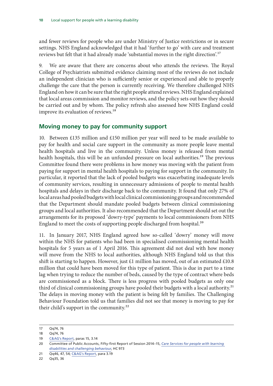<span id="page-11-0"></span>and fewer reviews for people who are under Ministry of Justice restrictions or in secure settings. NHS England acknowledged that it had 'further to go' with care and treatment reviews but felt that it had already made 'substantial moves in the right direction'.<sup>17</sup>

9. We are aware that there are concerns about who attends the reviews. The Royal College of Psychiatrists submitted evidence claiming most of the reviews do not include an independent clinician who is sufficiently senior or experienced and able to properly challenge the care that the person is currently receiving. We therefore challenged NHS England on how it can be sure that the right people attend reviews. NHS England explained that local areas commission and monitor reviews, and the policy sets out how they should be carried out and by whom. The policy refresh also assessed how NHS England could improve its evaluation of reviews.<sup>18</sup>

#### **Moving money to pay for community support**

10. Between £135 million and £150 million per year will need to be made available to pay for health and social care support in the community as more people leave mental health hospitals and live in the community. Unless money is released from mental health hospitals, this will be an unfunded pressure on local authorities.<sup>19</sup> The previous Committee found there were problems in how money was moving with the patient from paying for support in mental health hospitals to paying for support in the community. In particular, it reported that the lack of pooled budgets was exacerbating inadequate levels of community services, resulting in unnecessary admissions of people to mental health hospitals and delays in their discharge back to the community. It found that only 27% of local areas had pooled budgets with local clinical commissioning groups and recommended that the Department should mandate pooled budgets between clinical commissioning groups and local authorities. It also recommended that the Department should set out the arrangements for its proposed 'dowry-type' payments to local commissioners from NHS England to meet the costs of supporting people discharged from hospital.<sup>20</sup>

11. In January 2017, NHS England agreed how so-called 'dowry' money will move within the NHS for patients who had been in specialised commissioning mental health hospitals for 5 years as of 1 April 2016. This agreement did not deal with how money will move from the NHS to local authorities, although NHS England told us that this shift is starting to happen. However, just £1 million has moved, out of an estimated £10.8 million that could have been moved for this type of patient. This is due in part to a time lag when trying to reduce the number of beds, caused by the type of contract where beds are commissioned as a block. There is less progress with pooled budgets as only one third of clinical commissioning groups have pooled their budgets with a local authority.<sup>21</sup> The delays in moving money with the patient is being felt by families. The Challenging Behaviour Foundation told us that families did not see that money is moving to pay for their child's support in the community.<sup>22</sup>

<sup>17</sup> Qq74, 76

<sup>18</sup> Qq74, 76

<sup>19</sup> [C&AG's Report,](https://www.nao.org.uk/report/local-support-for-people-with-a-learning-disability/) paras 15, 3.14

<sup>20</sup> Committee of Public Accounts, Fifty-first Report of Session 2014–15, *[Care Services for people with learning](http://www.publications.parliament.uk/pa/cm201415/cmselect/cmpubacc/973/973.pdf)  [disabilities and challenging behaviour](http://www.publications.parliament.uk/pa/cm201415/cmselect/cmpubacc/973/973.pdf)*, HC 973

<sup>21</sup> Qq46, 47, 54; [C&AG's Report,](https://www.nao.org.uk/report/local-support-for-people-with-a-learning-disability/) para 3.19

<sup>22</sup> Qq35, 36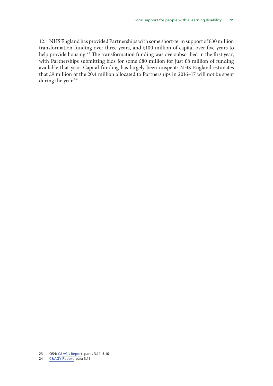12. NHS England has provided Partnerships with some short-term support of £30 million transformation funding over three years, and £100 million of capital over five years to help provide housing.<sup>23</sup> The transformation funding was oversubscribed in the first year, with Partnerships submitting bids for some £80 million for just £8 million of funding available that year. Capital funding has largely been unspent: NHS England estimates that £9 million of the 20.4 million allocated to Partnerships in 2016–17 will not be spent during the year.<sup>24</sup>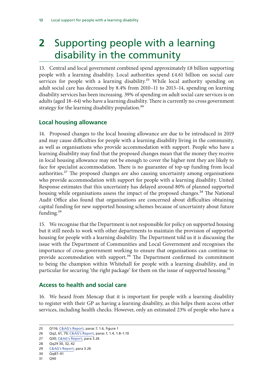# <span id="page-13-0"></span>**2** Supporting people with a learning disability in the community

13. Central and local government combined spend approximately £8 billion supporting people with a learning disability. Local authorities spend £4.61 billion on social care services for people with a learning disability.<sup>25</sup> While local authority spending on adult social care has decreased by 8.4% from 2010–11 to 2013–14, spending on learning disability services has been increasing. 39% of spending on adult social care services is on adults (aged 18–64) who have a learning disability. There is currently no cross government strategy for the learning disability population.<sup>26</sup>

#### **Local housing allowance**

14. Proposed changes to the local housing allowance are due to be introduced in 2019 and may cause difficulties for people with a learning disability living in the community, as well as organisations who provide accommodation with support. People who have a learning disability may find that the proposed changes mean that the money they receive in local housing allowance may not be enough to cover the higher rent they are likely to face for specialist accommodation. There is no guarantee of top-up funding from local authorities.<sup>27</sup> The proposed changes are also causing uncertainty among organisations who provide accommodation with support for people with a learning disability. United Response estimates that this uncertainty has delayed around 80% of planned supported housing while organisations assess the impact of the proposed changes.<sup>28</sup> The National Audit Office also found that organisations are concerned about difficulties obtaining capital funding for new supported housing schemes because of uncertainty about future funding.<sup>29</sup>

15. We recognise that the Department is not responsible for policy on supported housing but it still needs to work with other departments to maintain the provision of supported housing for people with a learning disability. The Department told us it is discussing the issue with the Department of Communities and Local Government and recognises the importance of cross-government working to ensure that organisations can continue to provide accommodation with support.<sup>30</sup> The Department confirmed its commitment to being the champion within Whitehall for people with a learning disability, and in particular for securing 'the right package' for them on the issue of supported housing.<sup>31</sup>

#### **Access to health and social care**

16. We heard from Mencap that it is important for people with a learning disability to register with their GP as having a learning disability, as this helps them access other services, including health checks. However, only an estimated 23% of people who have a

<sup>25</sup> Q116; [C&AG's Report,](https://www.nao.org.uk/report/local-support-for-people-with-a-learning-disability/) paras 7, 1.6, figure 1

<sup>26</sup> Qq2, 61, 79; [C&AG's Report,](https://www.nao.org.uk/report/local-support-for-people-with-a-learning-disability/) paras 7, 1.4, 1.8–1.10

<sup>27</sup> Q30; [C&AG's Report](https://www.nao.org.uk/report/local-support-for-people-with-a-learning-disability/), para 3.26

<sup>28</sup> Qq29 30, 32, 42

<sup>29</sup> [C&AG's Report,](https://www.nao.org.uk/report/local-support-for-people-with-a-learning-disability/) para 3.26

<sup>30</sup> Qq87–91

<sup>31</sup> Q90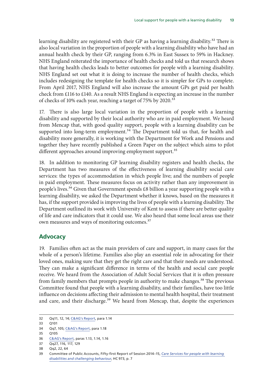<span id="page-14-0"></span>learning disability are registered with their GP as having a learning disability.<sup>32</sup> There is also local variation in the proportion of people with a learning disability who have had an annual health check by their GP, ranging from 6.3% in East Sussex to 59% in Hackney. NHS England reiterated the importance of health checks and told us that research shows that having health checks leads to better outcomes for people with a learning disability. NHS England set out what it is doing to increase the number of health checks, which includes redesigning the template for health checks so it is simpler for GPs to complete. From April 2017, NHS England will also increase the amount GPs get paid per health check from £116 to £140. As a result NHS England is expecting an increase in the number of checks of 10% each year, reaching a target of 75% by 2020.<sup>33</sup>

17. There is also large local variation in the proportion of people with a learning disability and supported by their local authority who are in paid employment. We heard from Mencap that, with good quality support, people with a learning disability can be supported into long-term employment.<sup>34</sup> The Department told us that, for health and disability more generally, it is working with the Department for Work and Pensions and together they have recently published a Green Paper on the subject which aims to pilot different approaches around improving employment support.<sup>35</sup>

18. In addition to monitoring GP learning disability registers and health checks, the Department has two measures of the effectiveness of learning disability social care services: the types of accommodation in which people live; and the numbers of people in paid employment. These measures focus on activity rather than any improvement in people's lives.<sup>36</sup> Given that Government spends £8 billion a year supporting people with a learning disability, we asked the Department whether it knows, based on the measures it has, if the support provided is improving the lives of people with a learning disability. The Department outlined its work with University of Kent to assess if there are better quality of life and care indicators that it could use. We also heard that some local areas use their own measures and ways of monitoring outcomes.<sup>37</sup>

#### **Advocacy**

19. Families often act as the main providers of care and support, in many cases for the whole of a person's lifetime. Families also play an essential role in advocating for their loved ones, making sure that they get the right care and that their needs are understood. They can make a significant difference in terms of the health and social care people receive. We heard from the Association of Adult Social Services that it is often pressure from family members that prompts people in authority to make changes.<sup>38</sup> The previous Committee found that people with a learning disability, and their families, have too little influence on decisions affecting their admission to mental health hospital, their treatment and care, and their discharge.<sup>39</sup> We heard from Mencap, that, despite the experiences

<sup>32</sup> Qq11, 12, 14; [C&AG's Report,](https://www.nao.org.uk/report/local-support-for-people-with-a-learning-disability/) para 1.14

<sup>33</sup> Q101

<sup>34</sup> Qq7, 105; [C&AG's Report,](https://www.nao.org.uk/report/local-support-for-people-with-a-learning-disability/) para 1.18

<sup>35</sup> Q105

<sup>36</sup> [C&AG's Report,](https://www.nao.org.uk/report/local-support-for-people-with-a-learning-disability/) paras 1.13, 1.14, 1.16

<sup>37</sup> Qq27, 116, 117, 129

<sup>38</sup> Qq2, 22, 64

<sup>39</sup> Committee of Public Accounts, Fifty-first Report of Session 2014–15, *[Care Services for people with learning](http://www.publications.parliament.uk/pa/cm201415/cmselect/cmpubacc/973/973.pdf)  [disabilities and challenging behaviour](http://www.publications.parliament.uk/pa/cm201415/cmselect/cmpubacc/973/973.pdf)*, HC 973, p. 7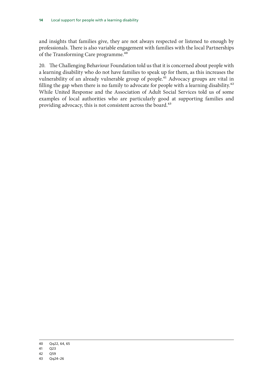and insights that families give, they are not always respected or listened to enough by professionals. There is also variable engagement with families with the local Partnerships of the Transforming Care programme.<sup>40</sup>

20. The Challenging Behaviour Foundation told us that it is concerned about people with a learning disability who do not have families to speak up for them, as this increases the vulnerability of an already vulnerable group of people.<sup>41</sup> Advocacy groups are vital in filling the gap when there is no family to advocate for people with a learning disability.<sup>42</sup> While United Response and the Association of Adult Social Services told us of some examples of local authorities who are particularly good at supporting families and providing advocacy, this is not consistent across the board.<sup>43</sup>

<sup>40</sup> Qq22, 64, 65

<sup>41</sup> Q23

<sup>42</sup> Q59

<sup>43</sup> Qq24–26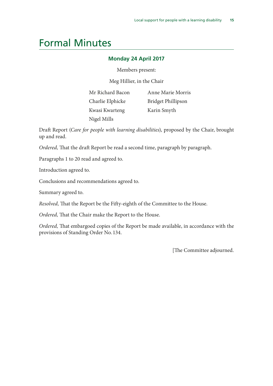### <span id="page-16-0"></span>Formal Minutes

#### **Monday 24 April 2017**

Members present:

Meg Hillier, in the Chair

Mr Richard Bacon Charlie Elphicke Kwasi Kwarteng Nigel Mills

Anne Marie Morris Bridget Phillipson Karin Smyth

Draft Report (*Care for people with learning disabilities*), proposed by the Chair, brought up and read.

*Ordered,* That the draft Report be read a second time, paragraph by paragraph.

Paragraphs 1 to 20 read and agreed to.

Introduction agreed to.

Conclusions and recommendations agreed to.

Summary agreed to.

*Resolved,* That the Report be the Fifty-eighth of the Committee to the House.

*Ordered,* That the Chair make the Report to the House.

*Ordered,* That embargoed copies of the Report be made available, in accordance with the provisions of Standing Order No. 134.

[The Committee adjourned.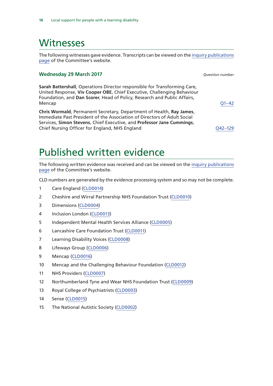### <span id="page-17-0"></span>**Witnesses**

The following witnesses gave evidence. Transcripts can be viewed on the [inquiry publications](https://www.parliament.uk/business/committees/committees-a-z/commons-select/public-accounts-committee/inquiries/parliament-2015/care-learning-disabilities-16-17/publications/) [page](https://www.parliament.uk/business/committees/committees-a-z/commons-select/public-accounts-committee/inquiries/parliament-2015/care-learning-disabilities-16-17/publications/) of the Committee's website.

#### **Wednesday 29 March 2017** *Question number*

**Sarah Battershall**, Operations Director responsible for Transforming Care, United Response, **Viv Cooper OBE**, Chief Executive, Challenging Behaviour Foundation, and **Dan Scorer**, Head of Policy, Research and Public Affairs, Mencap [Q1–42](http://data.parliament.uk/writtenevidence/committeeevidence.svc/evidencedocument/public-accounts-committee/care-for-people-with-learning-disabilities/oral/49592.html)

**Chris Wormald**, Permanent Secretary, Department of Health, **Ray James**, Immediate Past President of the Association of Directors of Adult Social Services, **Simon Stevens**, Chief Executive, and **Professor Jane Cummings**, Chief Nursing Officer for England, NHS England [Q42–129](http://data.parliament.uk/writtenevidence/committeeevidence.svc/evidencedocument/public-accounts-committee/care-for-people-with-learning-disabilities/oral/49592.html)

# Published written evidence

The following written evidence was received and can be viewed on the [inquiry publications](https://www.parliament.uk/business/committees/committees-a-z/commons-select/public-accounts-committee/inquiries/parliament-2015/care-learning-disabilities-16-17/publications/) [page](https://www.parliament.uk/business/committees/committees-a-z/commons-select/public-accounts-committee/inquiries/parliament-2015/care-learning-disabilities-16-17/publications/) of the Committee's website.

CLD numbers are generated by the evidence processing system and so may not be complete.

- 1 Care England ([CLD0014](http://data.parliament.uk/WrittenEvidence/CommitteeEvidence.svc/EvidenceDocument/Public%20Accounts/Care%20for%20people%20with%20learning%20disabilities/written/49499.html))
- 2 Cheshire and Wirral Partnership NHS Foundation Trust ([CLD0010](http://data.parliament.uk/WrittenEvidence/CommitteeEvidence.svc/EvidenceDocument/Public%20Accounts/Care%20for%20people%20with%20learning%20disabilities/written/49133.html))
- 3 Dimensions [\(CLD0004\)](http://data.parliament.uk/WrittenEvidence/CommitteeEvidence.svc/EvidenceDocument/Public%20Accounts/Care%20for%20people%20with%20learning%20disabilities/written/49062.html)
- 4 Inclusion London [\(CLD0013](http://data.parliament.uk/WrittenEvidence/CommitteeEvidence.svc/EvidenceDocument/Public%20Accounts/Care%20for%20people%20with%20learning%20disabilities/written/49498.html))
- 5 Independent Mental Health Services Alliance [\(CLD0005\)](http://data.parliament.uk/WrittenEvidence/CommitteeEvidence.svc/EvidenceDocument/Public%20Accounts/Care%20for%20people%20with%20learning%20disabilities/written/49111.html)
- 6 Lancashire Care Foundation Trust [\(CLD0011](http://data.parliament.uk/WrittenEvidence/CommitteeEvidence.svc/EvidenceDocument/Public%20Accounts/Care%20for%20people%20with%20learning%20disabilities/written/49135.html))
- 7 Learning Disability Voices [\(CLD0008](http://data.parliament.uk/WrittenEvidence/CommitteeEvidence.svc/EvidenceDocument/Public%20Accounts/Care%20for%20people%20with%20learning%20disabilities/written/49123.html))
- 8 Lifeways Group ([CLD0006](http://data.parliament.uk/WrittenEvidence/CommitteeEvidence.svc/EvidenceDocument/Public%20Accounts/Care%20for%20people%20with%20learning%20disabilities/written/49115.html))
- 9 Mencap [\(CLD0016\)](http://data.parliament.uk/WrittenEvidence/CommitteeEvidence.svc/EvidenceDocument/Public%20Accounts/Care%20for%20people%20with%20learning%20disabilities/written/68818.html)
- 10 Mencap and the Challenging Behaviour Foundation [\(CLD0012](http://data.parliament.uk/WrittenEvidence/CommitteeEvidence.svc/EvidenceDocument/Public%20Accounts/Care%20for%20people%20with%20learning%20disabilities/written/49497.html))
- 11 NHS Providers [\(CLD0007](http://data.parliament.uk/WrittenEvidence/CommitteeEvidence.svc/EvidenceDocument/Public%20Accounts/Care%20for%20people%20with%20learning%20disabilities/written/49122.html))
- 12 Northumberland Tyne and Wear NHS Foundation Trust [\(CLD0009\)](http://data.parliament.uk/WrittenEvidence/CommitteeEvidence.svc/EvidenceDocument/Public%20Accounts/Care%20for%20people%20with%20learning%20disabilities/written/49130.html)
- 13 Royal College of Psychiatrists [\(CLD0003\)](http://data.parliament.uk/WrittenEvidence/CommitteeEvidence.svc/EvidenceDocument/Public%20Accounts/Care%20for%20people%20with%20learning%20disabilities/written/49002.html)
- 14 Sense ([CLD0015](http://data.parliament.uk/WrittenEvidence/CommitteeEvidence.svc/EvidenceDocument/Public%20Accounts/Care%20for%20people%20with%20learning%20disabilities/written/49510.html))
- 15 The National Autistic Society ([CLD0002\)](http://data.parliament.uk/WrittenEvidence/CommitteeEvidence.svc/EvidenceDocument/Public%20Accounts/Care%20for%20people%20with%20learning%20disabilities/written/48819.html)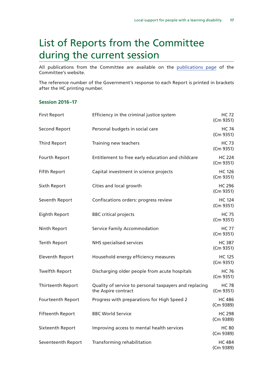# <span id="page-18-0"></span>List of Reports from the Committee during the current session

All publications from the Committee are available on the [publications page](https://www.parliament.uk/business/committees/committees-a-z/commons-select/public-accounts-committee/publications/) of the Committee's website.

The reference number of the Government's response to each Report is printed in brackets after the HC printing number.

#### **Session 2016–17**

| <b>First Report</b>     | Efficiency in the criminal justice system                                     | <b>HC 72</b><br>(Cm 9351)  |
|-------------------------|-------------------------------------------------------------------------------|----------------------------|
| <b>Second Report</b>    | Personal budgets in social care                                               | <b>HC 74</b><br>(Cm 9351)  |
| <b>Third Report</b>     | Training new teachers                                                         | <b>HC 73</b><br>(Cm 9351)  |
| Fourth Report           | Entitlement to free early education and childcare                             | <b>HC 224</b><br>(Cm 9351) |
| <b>Fifth Report</b>     | Capital investment in science projects                                        | <b>HC 126</b><br>(Cm 9351) |
| Sixth Report            | Cities and local growth                                                       | <b>HC 296</b><br>(Cm 9351) |
| Seventh Report          | Confiscations orders: progress review                                         | <b>HC 124</b><br>(Cm 9351) |
| Eighth Report           | <b>BBC</b> critical projects                                                  | <b>HC 75</b><br>(Cm 9351)  |
| Ninth Report            | Service Family Accommodation                                                  | <b>HC 77</b><br>(Cm 9351)  |
| <b>Tenth Report</b>     | <b>NHS</b> specialised services                                               | <b>HC 387</b><br>(Cm 9351) |
| <b>Eleventh Report</b>  | Household energy efficiency measures                                          | <b>HC 125</b><br>(Cm 9351) |
| <b>Twelfth Report</b>   | Discharging older people from acute hospitals                                 | <b>HC 76</b><br>(Cm 9351)  |
| Thirteenth Report       | Quality of service to personal taxpayers and replacing<br>the Aspire contract | <b>HC 78</b><br>(Cm 9351)  |
| Fourteenth Report       | Progress with preparations for High Speed 2                                   | <b>HC 486</b><br>(Cm 9389) |
| <b>Fifteenth Report</b> | <b>BBC World Service</b>                                                      | <b>HC 298</b><br>(Cm 9389) |
| Sixteenth Report        | Improving access to mental health services                                    | <b>HC 80</b><br>(Cm 9389)  |
| Seventeenth Report      | Transforming rehabilitation                                                   | <b>HC 484</b><br>(Cm 9389) |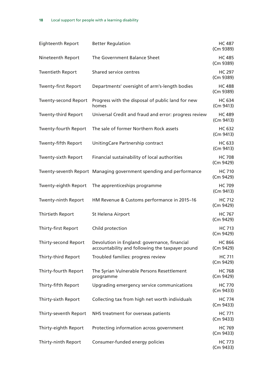| <b>Eighteenth Report</b>    | <b>Better Regulation</b>                                                                        | <b>HC 487</b><br>(Cm 9389) |
|-----------------------------|-------------------------------------------------------------------------------------------------|----------------------------|
| Nineteenth Report           | The Government Balance Sheet                                                                    | <b>HC 485</b><br>(Cm 9389) |
| <b>Twentieth Report</b>     | Shared service centres                                                                          | <b>HC 297</b><br>(Cm 9389) |
| <b>Twenty-first Report</b>  | Departments' oversight of arm's-length bodies                                                   | <b>HC488</b><br>(Cm 9389)  |
| <b>Twenty-second Report</b> | Progress with the disposal of public land for new<br>homes                                      | <b>HC 634</b><br>(Cm 9413) |
| <b>Twenty-third Report</b>  | Universal Credit and fraud and error: progress review                                           | <b>HC 489</b><br>(Cm 9413) |
| Twenty-fourth Report        | The sale of former Northern Rock assets                                                         | <b>HC 632</b><br>(Cm 9413) |
| Twenty-fifth Report         | UnitingCare Partnership contract                                                                | <b>HC 633</b><br>(Cm 9413) |
| Twenty-sixth Report         | Financial sustainability of local authorities                                                   | <b>HC 708</b><br>(Cm 9429) |
|                             | Twenty-seventh Report Managing government spending and performance                              | <b>HC 710</b><br>(Cm 9429) |
| Twenty-eighth Report        | The apprenticeships programme                                                                   | <b>HC 709</b><br>(Cm 9413) |
| Twenty-ninth Report         | HM Revenue & Customs performance in 2015-16                                                     | <b>HC 712</b><br>(Cm 9429) |
| Thirtieth Report            | St Helena Airport                                                                               | <b>HC 767</b><br>(Cm 9429) |
| Thirty-first Report         | Child protection                                                                                | <b>HC 713</b><br>(Cm 9429) |
| <b>Thirty-second Report</b> | Devolution in England: governance, financial<br>accountability and following the taxpayer pound | <b>HC 866</b><br>(Cm 9429) |
| Thirty-third Report         | Troubled families: progress review                                                              | <b>HC 711</b><br>(Cm 9429) |
| Thirty-fourth Report        | The Syrian Vulnerable Persons Resettlement<br>programme                                         | <b>HC 768</b><br>(Cm 9429) |
| Thirty-fifth Report         | Upgrading emergency service communications                                                      | <b>HC 770</b><br>(Cm 9433) |
| Thirty-sixth Report         | Collecting tax from high net worth individuals                                                  | <b>HC 774</b><br>(Cm 9433) |
| Thirty-seventh Report       | NHS treatment for overseas patients                                                             | <b>HC 771</b><br>(Cm 9433) |
| Thirty-eighth Report        | Protecting information across government                                                        | <b>HC 769</b><br>(Cm 9433) |
| Thirty-ninth Report         | Consumer-funded energy policies                                                                 | <b>HC 773</b><br>(Cm 9433) |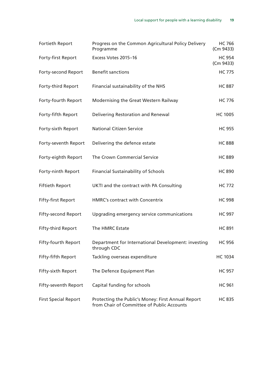| Fortieth Report             | Progress on the Common Agricultural Policy Delivery<br>Programme                                 | <b>HC 766</b><br>(Cm 9433) |
|-----------------------------|--------------------------------------------------------------------------------------------------|----------------------------|
| Forty-first Report          | Excess Votes 2015-16                                                                             | <b>HC 954</b><br>(Cm 9433) |
| Forty-second Report         | <b>Benefit sanctions</b>                                                                         | <b>HC 775</b>              |
| Forty-third Report          | Financial sustainability of the NHS                                                              | <b>HC 887</b>              |
| Forty-fourth Report         | Modernising the Great Western Railway                                                            | <b>HC 776</b>              |
| Forty-fifth Report          | Delivering Restoration and Renewal                                                               | <b>HC 1005</b>             |
| Forty-sixth Report          | <b>National Citizen Service</b>                                                                  | <b>HC 955</b>              |
| Forty-seventh Report        | Delivering the defence estate                                                                    | <b>HC 888</b>              |
| Forty-eighth Report         | The Crown Commercial Service                                                                     | <b>HC 889</b>              |
| Forty-ninth Report          | <b>Financial Sustainability of Schools</b>                                                       | <b>HC 890</b>              |
| <b>Fiftieth Report</b>      | UKTI and the contract with PA Consulting                                                         | <b>HC 772</b>              |
| <b>Fifty-first Report</b>   | HMRC's contract with Concentrix                                                                  | <b>HC 998</b>              |
| <b>Fifty-second Report</b>  | Upgrading emergency service communications                                                       | <b>HC 997</b>              |
| Fifty-third Report          | The HMRC Estate                                                                                  | <b>HC 891</b>              |
| Fifty-fourth Report         | Department for International Development: investing<br>through CDC                               | <b>HC 956</b>              |
| Fifty-fifth Report          | Tackling overseas expenditure                                                                    | <b>HC 1034</b>             |
| Fifty-sixth Report          | The Defence Equipment Plan                                                                       | <b>HC 957</b>              |
| Fifty-seventh Report        | Capital funding for schools                                                                      | <b>HC 961</b>              |
| <b>First Special Report</b> | Protecting the Public's Money: First Annual Report<br>from Chair of Committee of Public Accounts | <b>HC 835</b>              |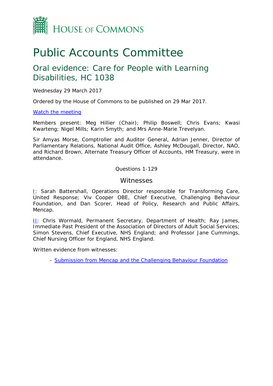

# Public Accounts Committee

### Oral evidence: Care for People with Learning Disabilities, HC 1038

Wednesday 29 March 2017

Ordered by the House of Commons to be published on 29 Mar 2017.

[Watch the meeting](http://parliamentlive.tv/Event/Index/5deb2421-acd0-4c62-974c-59026d322a3b)

Members present: Meg Hillier (Chair); Philip Boswell; Chris Evans; Kwasi Kwarteng; Nigel Mills; Karin Smyth; and Mrs Anne-Marie Trevelyan.

Sir Amyas Morse, Comptroller and Auditor General, Adrian Jenner, Director of Parliamentary Relations, National Audit Office, Ashley McDougall, Director, NAO, and Richard Brown, Alternate Treasury Officer of Accounts, HM Treasury, were in attendance.

Questions 1-129

#### **Witnesses**

[I:](#page-22-0) Sarah Battershall, Operations Director responsible for Transforming Care, United Response; Viv Cooper OBE, Chief Executive, Challenging Behaviour Foundation, and Dan Scorer, Head of Policy, Research and Public Affairs, Mencap.

II: Chris Wormald, Permanent Secretary, Department of Health; Ray James, Immediate Past President of the Association of Directors of Adult Social Services; Simon Stevens, Chief Executive, NHS England; and Professor Jane Cummings, Chief Nursing Officer for England, NHS England.

Written evidence from witnesses:

– [Submission from Mencap and the Challenging Behaviour Foundation](http://data.parliament.uk/writtenevidence/committeeevidence.svc/evidencedocument/public-accounts-committee/care-for-people-with-learning-disabilities/written/49497.pdf)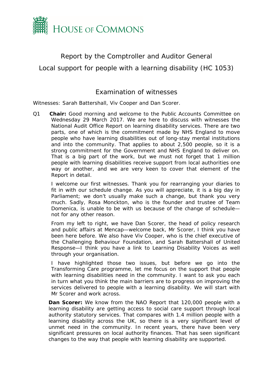

#### Report by the Comptroller and Auditor General

<span id="page-22-0"></span>Local support for people with a learning disability (HC 1053)

#### Examination of witnesses

Witnesses: Sarah Battershall, Viv Cooper and Dan Scorer.

Q1 **Chair:** Good morning and welcome to the Public Accounts Committee on Wednesday 29 March 2017. We are here to discuss with witnesses the National Audit Office Report on learning disability services. There are two parts, one of which is the commitment made by NHS England to move people who have learning disabilities out of long-stay mental institutions and into the community. That applies to about 2,500 people, so it is a strong commitment for the Government and NHS England to deliver on. That is a big part of the work, but we must not forget that 1 million people with learning disabilities receive support from local authorities one way or another, and we are very keen to cover that element of the Report in detail.

I welcome our first witnesses. Thank you for rearranging your diaries to fit in with our schedule change. As you will appreciate, it is a big day in Parliament; we don't usually make such a change, but thank you very much. Sadly, Rosa Monckton, who is the founder and trustee of Team Domenica, is unable to be with us because of the change of schedule not for any other reason.

From my left to right, we have Dan Scorer, the head of policy research and public affairs at Mencap—welcome back, Mr Scorer, I think you have been here before. We also have Viv Cooper, who is the chief executive of the Challenging Behaviour Foundation, and Sarah Battershall of United Response—I think you have a link to Learning Disability Voices as well through your organisation.

I have highlighted those two issues, but before we go into the Transforming Care programme, let me focus on the support that people with learning disabilities need in the community. I want to ask you each in turn what you think the main barriers are to progress on improving the services delivered to people with a learning disability. We will start with Mr Scorer and work across.

*Dan Scorer:* We know from the NAO Report that 120,000 people with a learning disability are getting access to social care support through local authority statutory services. That compares with 1.4 million people with a learning disability across the UK, so there is a very significant level of unmet need in the community. In recent years, there have been very significant pressures on local authority finances. That has seen significant changes to the way that people with learning disability are supported.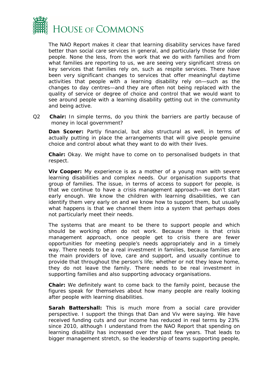

The NAO Report makes it clear that learning disability services have fared better than social care services in general, and particularly those for older people. None the less, from the work that we do with families and from what families are reporting to us, we are seeing very significant stress on key services that families rely on, such as respite services. There have been very significant changes to services that offer meaningful daytime activities that people with a learning disability rely on—such as the changes to day centres—and they are often not being replaced with the quality of service or degree of choice and control that we would want to see around people with a learning disability getting out in the community and being active.

Q2 **Chair:** In simple terms, do you think the barriers are partly because of money in local government?

*Dan Scorer:* Partly financial, but also structural as well, in terms of actually putting in place the arrangements that will give people genuine choice and control about what they want to do with their lives.

**Chair:** Okay. We might have to come on to personalised budgets in that respect.

**Viv Cooper:** My experience is as a mother of a young man with severe learning disabilities and complex needs. Our organisation supports that group of families. The issue, in terms of access to support for people, is that we continue to have a crisis management approach—we don't start early enough. We know the children with learning disabilities, we can identify them very early on and we know how to support them, but usually what happens is that we channel them into a system that perhaps does not particularly meet their needs.

The systems that are meant to be there to support people and which should be working often do not work. Because there is that crisis management approach, once people get to crisis there are fewer opportunities for meeting people's needs appropriately and in a timely way. There needs to be a real investment in families, because families are the main providers of love, care and support, and usually continue to provide that throughout the person's life; whether or not they leave home, they do not leave the family. There needs to be real investment in supporting families and also supporting advocacy organisations.

**Chair:** We definitely want to come back to the family point, because the figures speak for themselves about how many people are really looking after people with learning disabilities.

*Sarah Battershall:* This is much more from a social care provider perspective. I support the things that Dan and Viv were saying. We have received funding cuts and our income has reduced in real terms by 23% since 2010, although I understand from the NAO Report that spending on learning disability has increased over the past few years. That leads to bigger management stretch, so the leadership of teams supporting people,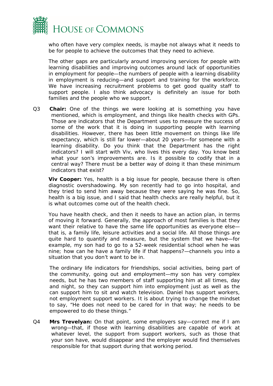

who often have very complex needs, is maybe not always what it needs to be for people to achieve the outcomes that they need to achieve.

The other gaps are particularly around improving services for people with learning disabilities and improving outcomes around lack of opportunities in employment for people—the numbers of people with a learning disability in employment is reducing—and support and training for the workforce. We have increasing recruitment problems to get good quality staff to support people. I also think advocacy is definitely an issue for both families and the people who we support.

Q3 **Chair:** One of the things we were looking at is something you have mentioned, which is employment, and things like health checks with GPs. Those are indicators that the Department uses to measure the success of some of the work that it is doing in supporting people with learning disabilities. However, there has been little movement on things like life expectancy, which is still far lower—about 20 years—for someone with a learning disability. Do you think that the Department has the right indicators? I will start with Viv, who lives this every day. You know best what your son's improvements are. Is it possible to codify that in a central way? There must be a better way of doing it than these minimum indicators that exist?

**Viv Cooper:** Yes, health is a big issue for people, because there is often diagnostic overshadowing. My son recently had to go into hospital, and they tried to send him away because they were saying he was fine. So, health is a big issue, and I said that health checks are really helpful, but it is what outcomes come out of the health check.

You have health check, and then it needs to have an action plan, in terms of moving it forward. Generally, the approach of most families is that they want their relative to have the same life opportunities as everyone else that is, a family life, leisure activities and a social life. All those things are quite hard to quantify and measure, but the system that we have—for example, my son had to go to a 52-week residential school when he was nine; how can he have a family life if that happens?—channels you into a situation that you don't want to be in.

The ordinary life indicators for friendships, social activities, being part of the community, going out and employment—my son has very complex needs, but he has two members of staff supporting him at all times, day and night, so they can support him into employment just as well as the can support him to sit and watch television. Daniel has support workers, not employment support workers. It is about trying to change the mindset to say, "He does not need to be cared for in that way; he needs to be empowered to do these things."

Q4 **Mrs Trevelyan:** On that point, some employers say—correct me if I am wrong—that, if those with learning disabilities are capable of work at whatever level, the support from support workers, such as those that your son have, would disappear and the employer would find themselves responsible for that support during that working period.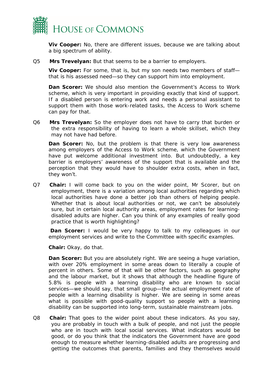

*Viv Cooper:* No, there are different issues, because we are talking about a big spectrum of ability.

Q5 **Mrs Trevelyan:** But that seems to be a barrier to employers.

*Viv Cooper:* For some, that is, but my son needs two members of staff that is his assessed need—so they can support him into employment.

**Dan Scorer:** We should also mention the Government's Access to Work scheme, which is very important in providing exactly that kind of support. If a disabled person is entering work and needs a personal assistant to support them with those work-related tasks, the Access to Work scheme can pay for that.

Q6 **Mrs Trevelyan:** So the employer does not have to carry that burden or the extra responsibility of having to learn a whole skillset, which they may not have had before.

*Dan Scorer:* No, but the problem is that there is very low awareness among employers of the Access to Work scheme, which the Government have put welcome additional investment into. But undoubtedly, a key barrier is employers' awareness of the support that is available and the perception that they would have to shoulder extra costs, when in fact, they won't.

Q7 **Chair:** I will come back to you on the wider point, Mr Scorer, but on employment, there is a variation among local authorities regarding which local authorities have done a better job than others of helping people. Whether that is about local authorities or not, we can't be absolutely sure, but in certain local authority areas, employment rates for learningdisabled adults are higher. Can you think of any examples of really good practice that is worth highlighting?

**Dan Scorer:** I would be very happy to talk to my colleagues in our employment services and write to the Committee with specific examples.

**Chair:** Okay, do that.

*Dan Scorer:* But you are absolutely right. We are seeing a huge variation, with over 20% employment in some areas down to literally a couple of percent in others. Some of that will be other factors, such as geography and the labour market, but it shows that although the headline figure of 5.8% is people with a learning disability who are known to social services—we should say, that small group—the actual employment rate of people with a learning disability is higher. We are seeing in some areas what is possible with good-quality support so people with a learning disability can be supported into long-term, sustainable mainstream jobs.

Q8 **Chair:** That goes to the wider point about these indicators. As you say, you are probably in touch with a bulk of people, and not just the people who are in touch with local social services. What indicators would be good, or do you think that the indicators the Government have are good enough to measure whether learning-disabled adults are progressing and getting the outcomes that parents, families and they themselves would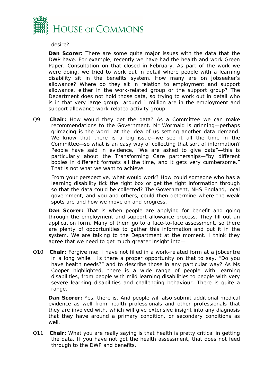

desire?

*Dan Scorer:* There are some quite major issues with the data that the DWP have. For example, recently we have had the health and work Green Paper. Consultation on that closed in February. As part of the work we were doing, we tried to work out in detail where people with a learning disability sit in the benefits system. How many are on jobseeker's allowance? Where do they sit in relation to employment and support allowance, either in the work-related group or the support group? The Department does not hold those data, so trying to work out in detail who is in that very large group—around 1 million are in the employment and support allowance work-related activity group—

Q9 **Chair:** How would they get the data? As a Committee we can make recommendations to the Government. Mr Wormald is grinning—perhaps grimacing is the word—at the idea of us setting another data demand. We know that there is a big issue—we see it all the time in the Committee—so what is an easy way of collecting that sort of information? People have said in evidence, "We are asked to give data"—this is particularly about the Transforming Care partnerships—"by different bodies in different formats all the time, and it gets very cumbersome." That is not what we want to achieve.

From your perspective, what would work? How could someone who has a learning disability tick the right box or get the right information through so that the data could be collected? The Government, NHS England, local government, and you and others, could then determine where the weak spots are and how we move on and progress.

*Dan Scorer:* That is when people are applying for benefit and going through the employment and support allowance process. They fill out an application form. Many of them go to a face-to-face assessment, so there are plenty of opportunities to gather this information and put it in the system. We are talking to the Department at the moment. I think they agree that we need to get much greater insight into—

Q10 **Chair:** Forgive me; I have not filled in a work-related form at a jobcentre in a long while. Is there a proper opportunity on that to say, "Do you have health needs?" and to describe those in any particular way? As Ms Cooper highlighted, there is a wide range of people with learning disabilities, from people with mild learning disabilities to people with very severe learning disabilities and challenging behaviour. There is quite a range.

**Dan Scorer:** Yes, there is. And people will also submit additional medical evidence as well from health professionals and other professionals that they are involved with, which will give extensive insight into any diagnosis that they have around a primary condition, or secondary conditions as well.

Q11 **Chair:** What you are really saying is that health is pretty critical in getting the data. If you have not got the health assessment, that does not feed through to the DWP and benefits.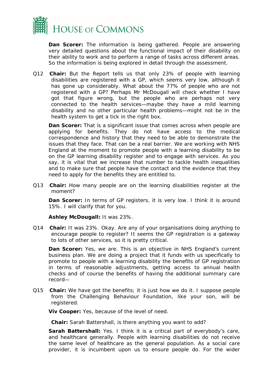

*Dan Scorer:* The information is being gathered. People are answering very detailed questions about the functional impact of their disability on their ability to work and to perform a range of tasks across different areas. So the information is being explored in detail through the assessment.

Q12 **Chair:** But the Report tells us that only 23% of people with learning disabilities are registered with a GP, which seems very low, although it has gone up considerably. What about the 77% of people who are not registered with a GP? Perhaps Mr McDougall will check whether I have got that figure wrong, but the people who are perhaps not very connected to the health services—maybe they have a mild learning disability and no other particular health problems—might not be in the health system to get a tick in the right box.

**Dan Scorer:** That is a significant issue that comes across when people are applying for benefits. They do not have access to the medical correspondence and history that they need to be able to demonstrate the issues that they face. That can be a real barrier. We are working with NHS England at the moment to promote people with a learning disability to be on the GP learning disability register and to engage with services. As you say, it is vital that we increase that number to tackle health inequalities and to make sure that people have the contact and the evidence that they need to apply for the benefits they are entitled to.

Q13 **Chair:** How many people are on the learning disabilities register at the moment?

**Dan Scorer:** In terms of GP registers, it is very low. I think it is around 15%. I will clarify that for you.

**Ashley McDougall:** It was 23%.

Q14 **Chair:** It was 23%. Okay. Are any of your organisations doing anything to encourage people to register? It seems the GP registration is a gateway to lots of other services, so it is pretty critical.

**Dan Scorer:** Yes, we are. This is an objective in NHS England's current business plan. We are doing a project that it funds with us specifically to promote to people with a learning disability the benefits of GP registration in terms of reasonable adjustments, getting access to annual health checks and of course the benefits of having the additional summary care record—

Q15 **Chair:** We have got the benefits; it is just how we do it. I suppose people from the Challenging Behaviour Foundation, like your son, will be registered.

*Viv Cooper:* Yes, because of the level of need.

**Chair:** Sarah Battershall, is there anything you want to add?

**Sarah Battershall:** Yes. I think it is a critical part of everybody's care, and healthcare generally. People with learning disabilities do not receive the same level of healthcare as the general population. As a social care provider, it is incumbent upon us to ensure people do. For the wider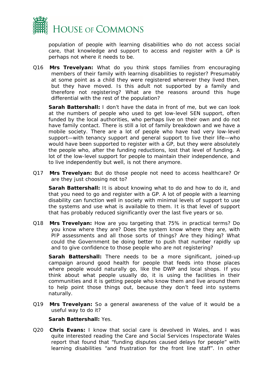

population of people with learning disabilities who do not access social care, that knowledge and support to access and register with a GP is perhaps not where it needs to be.

Q16 **Mrs Trevelyan:** What do you think stops families from encouraging members of their family with learning disabilities to register? Presumably at some point as a child they were registered wherever they lived then, but they have moved. Is this adult not supported by a family and therefore not registering? What are the reasons around this huge differential with the rest of the population?

**Sarah Battershall:** I don't have the data in front of me, but we can look at the numbers of people who used to get low-level SEN support, often funded by the local authorities, who perhaps live on their own and do not have family contact. There is still a lot of family breakdown and we have a mobile society. There are a lot of people who have had very low-level support—with tenancy support and general support to live their life—who would have been supported to register with a GP, but they were absolutely the people who, after the funding reductions, lost that level of funding. A lot of the low-level support for people to maintain their independence, and to live independently but well, is not there anymore.

Q17 **Mrs Trevelyan:** But do those people not need to access healthcare? Or are they just choosing not to?

**Sarah Battershall:** It is about knowing what to do and how to do it, and that you need to go and register with a GP. A lot of people with a learning disability can function well in society with minimal levels of support to use the systems and use what is available to them. It is that level of support that has probably reduced significantly over the last five years or so.

Q18 **Mrs Trevelyan:** How are you targeting that 75% in practical terms? Do you know where they are? Does the system know where they are, with PIP assessments and all those sorts of things? Are they hiding? What could the Government be doing better to push that number rapidly up and to give confidence to those people who are not registering?

*Sarah Battershall:* There needs to be a more significant, joined-up campaign around good health for people that feeds into those places where people would naturally go, like the DWP and local shops. If you think about what people usually do, it is using the facilities in their communities and it is getting people who know them and live around them to help point those things out, because they don't feed into systems naturally.

Q19 **Mrs Trevelyan:** So a general awareness of the value of it would be a useful way to do it?

#### *Sarah Battershall:* Yes.

Q20 **Chris Evans:** I know that social care is devolved in Wales, and I was quite interested reading the Care and Social Services Inspectorate Wales report that found that "funding disputes caused delays for people" with learning disabilities "and frustration for the front line staff". In other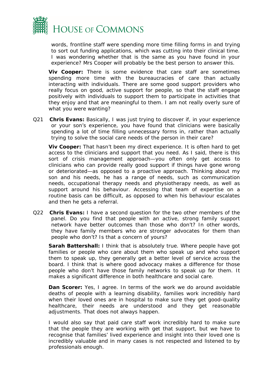

words, frontline staff were spending more time filling forms in and trying to sort out funding applications, which was cutting into their clinical time. I was wondering whether that is the same as you have found in your experience? Mrs Cooper will probably be the best person to answer this.

*Viv Cooper:* There is some evidence that care staff are sometimes spending more time with the bureaucracies of care than actually interacting with individuals. There are some good support providers who really focus on good, active support for people, so that the staff engage positively with individuals to support them to participate in activities that they enjoy and that are meaningful to them. I am not really overly sure of what you were wanting?

Q21 **Chris Evans:** Basically, I was just trying to discover if, in your experience or your son's experience, you have found that clinicians were basically spending a lot of time filling unnecessary forms in, rather than actually trying to solve the social care needs of the person in their care?

*Viv Cooper:* That hasn't been my direct experience. It is often hard to get access to the clinicians and support that you need. As I said, there is this sort of crisis management approach—you often only get access to clinicians who can provide really good support if things have gone wrong or deteriorated—as opposed to a proactive approach. Thinking about my son and his needs, he has a range of needs, such as communication needs, occupational therapy needs and physiotherapy needs, as well as support around his behaviour. Accessing that team of expertise on a routine basis can be difficult, as opposed to when his behaviour escalates and then he gets a referral.

Q22 **Chris Evans:** I have a second question for the two other members of the panel. Do you find that people with an active, strong family support network have better outcomes than those who don't? In other words, they have family members who are stronger advocates for them than people who don't? Is that a concern of yours?

**Sarah Battershall:** I think that is absolutely true. Where people have got families or people who care about them who speak up and who support them to speak up, they generally get a better level of service across the board. I think that is where good advocacy makes a difference for those people who don't have those family networks to speak up for them. It makes a significant difference in both healthcare and social care.

**Dan Scorer:** Yes, I agree. In terms of the work we do around avoidable deaths of people with a learning disability, families work incredibly hard when their loved ones are in hospital to make sure they get good-quality healthcare, their needs are understood and they get reasonable adjustments. That does not always happen.

I would also say that paid care staff work incredibly hard to make sure that the people they are working with get that support, but we have to recognise that families' lived experience and insight into their loved one is incredibly valuable and in many cases is not respected and listened to by professionals enough.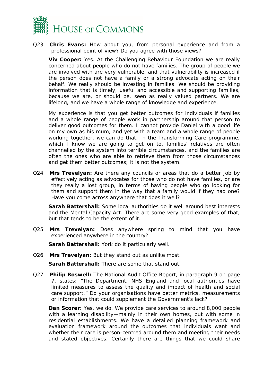

Q23 **Chris Evans:** How about you, from personal experience and from a professional point of view? Do you agree with those views?

*Viv Cooper:* Yes. At the Challenging Behaviour Foundation we are really concerned about people who do not have families. The group of people we are involved with are very vulnerable, and that vulnerability is increased if the person does not have a family or a strong advocate acting on their behalf. We really should be investing in families. We should be providing information that is timely, useful and accessible and supporting families, because we are, or should be, seen as really valued partners. We are lifelong, and we have a whole range of knowledge and experience.

My experience is that you get better outcomes for individuals if families and a whole range of people work in partnership around that person to deliver good outcomes for them. I cannot provide Daniel with a good life on my own as his mum, and yet with a team and a whole range of people working together, we can do that. In the Transforming Care programme, which I know we are going to get on to, families' relatives are often channelled by the system into terrible circumstances, and the families are often the ones who are able to retrieve them from those circumstances and get them better outcomes; it is not the system.

Q24 **Mrs Trevelyan:** Are there any councils or areas that do a better job by effectively acting as advocates for those who do not have families, or are they really a lost group, in terms of having people who go looking for them and support them in the way that a family would if they had one? Have you come across anywhere that does it well?

*Sarah Battershall:* Some local authorities do it well around best interests and the Mental Capacity Act. There are some very good examples of that, but that tends to be the extent of it.

Q25 **Mrs Trevelyan:** Does anywhere spring to mind that you have experienced anywhere in the country?

*Sarah Battershall:* York do it particularly well.

Q26 **Mrs Trevelyan:** But they stand out as unlike most.

*Sarah Battershall:* There are some that stand out.

Q27 **Philip Boswell:** The National Audit Office Report, in paragraph 9 on page 7, states: "The Department, NHS England and local authorities have limited measures to assess the quality and impact of health and social care support." Do your organisations have better metrics, measurements or information that could supplement the Government's lack?

**Dan Scorer:** Yes, we do. We provide care services to around 8,000 people with a learning disability—mainly in their own homes, but with some in residential establishments. We have a detailed planning framework and evaluation framework around the outcomes that individuals want and whether their care is person-centred around them and meeting their needs and stated objectives. Certainly there are things that we could share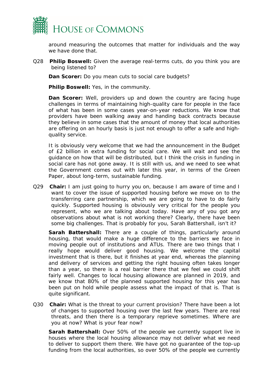

around measuring the outcomes that matter for individuals and the way we have done that.

Q28 **Philip Boswell:** Given the average real-terms cuts, do you think you are being listened to?

**Dan Scorer:** Do you mean cuts to social care budgets?

**Philip Boswell:** Yes, in the community.

**Dan Scorer:** Well, providers up and down the country are facing huge challenges in terms of maintaining high-quality care for people in the face of what has been in some cases year-on-year reductions. We know that providers have been walking away and handing back contracts because they believe in some cases that the amount of money that local authorities are offering on an hourly basis is just not enough to offer a safe and highquality service.

It is obviously very welcome that we had the announcement in the Budget of £2 billion in extra funding for social care. We will wait and see the guidance on how that will be distributed, but I think the crisis in funding in social care has not gone away. It is still with us, and we need to see what the Government comes out with later this year, in terms of the Green Paper, about long-term, sustainable funding.

Q29 **Chair:** I am just going to hurry you on, because I am aware of time and I want to cover the issue of supported housing before we move on to the transferring care partnership, which we are going to have to do fairly quickly. Supported housing is obviously very critical for the people you represent, who we are talking about today. Have any of you got any observations about what is not working there? Clearly, there have been some big challenges. That is probably for you, Sarah Battershall, isn't it?

*Sarah Battershall:* There are a couple of things, particularly around housing, that would make a huge difference to the barriers we face in moving people out of institutions and ATUs. There are two things that I really hope would deliver good housing. We welcome the capital investment that is there, but it finishes at year end, whereas the planning and delivery of services and getting the right housing often takes longer than a year, so there is a real barrier there that we feel we could shift fairly well. Changes to local housing allowance are planned in 2019, and we know that 80% of the planned supported housing for this year has been put on hold while people assess what the impact of that is. That is quite significant.

Q30 **Chair:** What is the threat to your current provision? There have been a lot of changes to supported housing over the last few years. There are real threats, and then there is a temporary reprieve sometimes. Where are you at now? What is your fear now?

*Sarah Battershall:* Over 50% of the people we currently support live in houses where the local housing allowance may not deliver what we need to deliver to support them there. We have got no guarantee of the top-up funding from the local authorities, so over 50% of the people we currently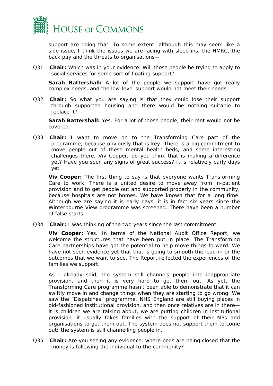

support are doing that. To some extent, although this may seem like a side issue, I think the issues we are facing with sleep-ins, the HMRC, the back pay and the threats to organisations—

Q31 **Chair:** Which was in your evidence. Will those people be trying to apply to social services for some sort of floating support?

**Sarah Battershall:** A lot of the people we support have got really complex needs, and the low-level support would not meet their needs.

Q32 **Chair:** So what you are saying is that they could lose their support through supported housing and there would be nothing suitable to replace it?

*Sarah Battershall:* Yes. For a lot of those people, their rent would not be covered.

Q33 **Chair:** I want to move on to the Transforming Care part of the programme, because obviously that is key. There is a big commitment to move people out of these mental health beds, and some interesting challenges there. Viv Cooper, do you think that is making a difference yet? Have you seen any signs of great success? It is relatively early days yet.

*Viv Cooper:* The first thing to say is that everyone wants Transforming Care to work. There is a united desire to move away from in-patient provision and to get people out and supported properly in the community, because hospitals are not homes. We have known that for a long time. Although we are saying it is early days, it is in fact six years since the Winterbourne View programme was screened. There have been a number of false starts.

Q34 **Chair:** I was thinking of the two years since the last commitment.

*Viv Cooper:* Yes. In terms of the National Audit Office Report, we welcome the structures that have been put in place. The Transforming Care partnerships have got the potential to help move things forward. We have not seen evidence yet that that is going to smooth the lead-in or the outcomes that we want to see. The Report reflected the experiences of the families we support.

As I already said, the system still channels people into inappropriate provision, and then it is very hard to get them out. As yet, the Transforming Care programme hasn't been able to demonstrate that it can swiftly move in and change things when they are starting to go wrong. We saw the "Dispatches" programme. NHS England are still buying places in old-fashioned institutional provision, and then once relatives are in there it is children we are talking about, we are putting children in institutional provision—it usually takes families with the support of their MPs and organisations to get them out. The system does not support them to come out; the system is still channelling people in.

Q35 **Chair:** Are you seeing any evidence, where beds are being closed that the money is following the individual to the community?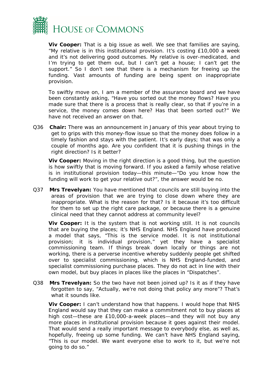

*Viv Cooper:* That is a big issue as well. We see that families are saying, "My relative is in this institutional provision. It's costing £10,000 a week and it's not delivering good outcomes. My relative is over-medicated, and I'm trying to get them out, but I can't get a house; I can't get the support." So I don't see that there is a mechanism for freeing up the funding. Vast amounts of funding are being spent on inappropriate provision.

To swiftly move on, I am a member of the assurance board and we have been constantly asking, "Have you sorted out the money flows? Have you made sure that there is a process that is really clear, so that if you're in a service, the money comes down here? Has that been sorted out?" We have not received an answer on that.

Q36 **Chair:** There was an announcement in January of this year about trying to get to grips with this money-flow issue so that the money does follow in a timely fashion and stays with the patient. It's early days; that was only a couple of months ago. Are you confident that it is pushing things in the right direction? Is it better?

**Viv Cooper:** Moving in the right direction is a good thing, but the question is how swiftly that is moving forward. If you asked a family whose relative is in institutional provision today—this minute—"Do you know how the funding will work to get your relative out?", the answer would be no.

Q37 **Mrs Trevelyan:** You have mentioned that councils are still buying into the areas of provision that we are trying to close down where they are inappropriate. What is the reason for that? Is it because it's too difficult for them to set up the right care package, or because there is a genuine clinical need that they cannot address at community level?

*Viv Cooper:* It is the system that is not working still. It is not councils that are buying the places; it's NHS England. NHS England have produced a model that says, "This is the service model. It is not institutional provision; it is individual provision," yet they have a specialist commissioning team. If things break down locally or things are not working, there is a perverse incentive whereby suddenly people get shifted over to specialist commissioning, which is NHS England-funded, and specialist commissioning purchase places. They do not act in line with their own model, but buy places in places like the places in "Dispatches".

Q38 **Mrs Trevelyan:** So the two have not been joined up? Is it as if they have forgotten to say, "Actually, we're not doing that policy any more"? That's what it sounds like.

*Viv Cooper:* I can't understand how that happens. I would hope that NHS England would say that they can make a commitment not to buy places at high cost—these are £10,000-a-week places—and they will not buy any more places in institutional provision because it goes against their model. That would send a really important message to everybody else, as well as, hopefully, freeing up some funding. We can't have NHS England saying, "This is our model. We want everyone else to work to it, but we're not going to do so."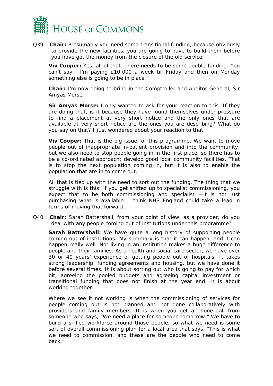

Q39 **Chair:** Presumably you need some transitional funding, because obviously to provide the new facilities, you are going to have to build them before you have got the money from the closure of the old service.

*Viv Cooper:* Yes, all of that. There needs to be some double-funding. You can't say, "I'm paying £10,000 a week till Friday and then on Monday something else is going to be in place."

**Chair:** I'm now going to bring in the Comptroller and Auditor General, Sir Amyas Morse.

**Sir Amyas Morse:** I only wanted to ask for your reaction to this. If they are doing that, is it because they have found themselves under pressure to find a placement at very short notice and the only ones that are available at very short notice are the ones you are describing? What do you say on that? I just wondered about your reaction to that.

*Viv Cooper:* That is the big issue for this programme. We want to move people out of inappropriate in-patient provision and into the community, but we also need to stop people going in in the first place, so there has to be a co-ordinated approach: develop good local community facilities. That is to stop the next population coming in, but it is also to enable the population that are in to come out.

All that is tied up with the need to sort out the funding. The thing that we struggle with is this: if you get shifted up to specialist commissioning, you expect that to be both commissioning and specialist —it is not just purchasing what is available. I think NHS England could take a lead in terms of moving that forward.

Q40 **Chair:** Sarah Battershall, from your point of view, as a provider, do you deal with any people coming out of institutions under this programme?

*Sarah Battershall:* We have quite a long history of supporting people coming out of institutions. My summary is that it can happen, and it can happen really well. Not living in an institution makes a huge difference to people and their families. As a health and social care sector, we have over 30 or 40 years' experience of getting people out of hospitals. It takes strong leadership, funding agreements and housing, but we have done it before several times. It is about sorting out who is going to pay for which bit, agreeing the pooled budgets and agreeing capital investment or transitional funding that does not finish at the year end. It is about working together.

Where we see it not working is when the commissioning of services for people coming out is not planned and not done collaboratively with providers and family members. It is when you get a phone call from someone who says, "We need a place for someone tomorrow." We have to build a skilled workforce around those people, so what we need is some sort of overall commissioning plan for a local area that says, "This is what we need to commission, and these are the people who need to come back."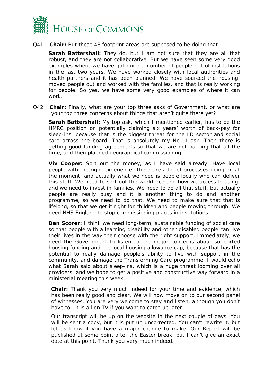

Q41 **Chair:** But these 48 footprint areas are supposed to be doing that.

*Sarah Battershall:* They do, but I am not sure that they are all that robust, and they are not collaborative. But we have seen some very good examples where we have got quite a number of people out of institutions in the last two years. We have worked closely with local authorities and health partners and it has been planned. We have sourced the housing, moved people out and worked with the families, and that is really working for people. So yes, we have some very good examples of where it can work.

Q42 **Chair:** Finally, what are your top three asks of Government, or what are your top three concerns about things that aren't quite there yet?

*Sarah Battershall:* My top ask, which I mentioned earlier, has to be the HMRC position on potentially claiming six years' worth of back-pay for sleep-ins, because that is the biggest threat for the LD sector and social care across the board. That is absolutely my No. 1 ask. Then there is getting good funding agreements so that we are not battling that all the time, and then planned geographical commissioning.

**Viv Cooper:** Sort out the money, as I have said already. Have local people with the right experience. There are a lot of processes going on at the moment, and actually what we need is people locally who can deliver this stuff. We need to sort out the workforce and how we access housing, and we need to invest in families. We need to do all that stuff, but actually people are really busy and it is another thing to do and another programme, so we need to do that. We need to make sure that that is lifelong, so that we get it right for children and people moving through. We need NHS England to stop commissioning places in institutions.

*Dan Scorer:* I think we need long-term, sustainable funding of social care so that people with a learning disability and other disabled people can live their lives in the way their choose with the right support. Immediately, we need the Government to listen to the major concerns about supported housing funding and the local housing allowance cap, because that has the potential to really damage people's ability to live with support in the community, and damage the Transforming Care programme. I would echo what Sarah said about sleep-ins, which is a huge threat looming over all providers, and we hope to get a positive and constructive way forward in a ministerial meeting this week.

**Chair:** Thank you very much indeed for your time and evidence, which has been really good and clear. We will now move on to our second panel of witnesses. You are very welcome to stay and listen, although you don't have to—it is all on TV if you want to catch up later.

Our transcript will be up on the website in the next couple of days. You will be sent a copy, but it is put up uncorrected. You can't rewrite it, but let us know if you have a major change to make. Our Report will be published at some point after the Easter break, but I can't give an exact date at this point. Thank you very much indeed.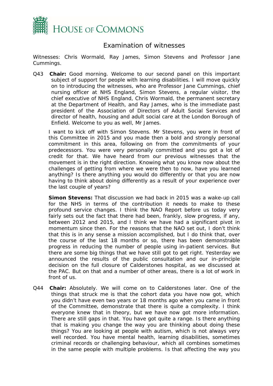

#### Examination of witnesses

Witnesses: Chris Wormald, Ray James, Simon Stevens and Professor Jane Cummings.

Q43 **Chair:** Good morning. Welcome to our second panel on this important subject of support for people with learning disabilities. I will move quickly on to introducing the witnesses, who are Professor Jane Cummings, chief nursing officer at NHS England, Simon Stevens, a regular visitor, the chief executive of NHS England, Chris Wormald, the permanent secretary at the Department of Health, and Ray James, who is the immediate past president of the Association of Directors of Adult Social Services and director of health, housing and adult social care at the London Borough of Enfield. Welcome to you as well, Mr James.

I want to kick off with Simon Stevens. Mr Stevens, you were in front of this Committee in 2015 and you made then a bold and strongly personal commitment in this area, following on from the commitments of your predecessors. You were very personally committed and you got a lot of credit for that. We have heard from our previous witnesses that the movement is in the right direction. Knowing what you know now about the challenges of getting from where we were then to now, have you learned anything? Is there anything you would do differently or that you are now having to think about doing differently as a result of your experience over the last couple of years?

*Simon Stevens:* That discussion we had back in 2015 was a wake-up call for the NHS in terms of the contribution it needs to make to these profound service changes. I think the NAO Report before us today very fairly sets out the fact that there had been, frankly, slow progress, if any, between 2012 and 2015, and I think we have had a significant pivot in momentum since then. For the reasons that the NAO set out, I don't think that this is in any sense a mission accomplished, but I do think that, over the course of the last 18 months or so, there has been demonstrable progress in reducing the number of people using in-patient services. But there are some big things that we have still got to get right. Yesterday we announced the results of the public consultation and our in-principle decision on the full closure of Calderstones hospital, as we discussed at the PAC. But on that and a number of other areas, there is a lot of work in front of us.

Q44 **Chair:** Absolutely. We will come on to Calderstones later. One of the things that struck me is that the cohort data you have now got, which you didn't have even two years or 18 months ago when you came in front of the Committee, demonstrate that there is quite a complexity. I think everyone knew that in theory, but we have now got more information. There are still gaps in that. You have got quite a range. Is there anything that is making you change the way you are thinking about doing these things? You are looking at people with autism, which is not always very well recorded. You have mental health, learning disabilities, sometimes criminal records or challenging behaviour, which all combines sometimes in the same people with multiple problems. Is that affecting the way you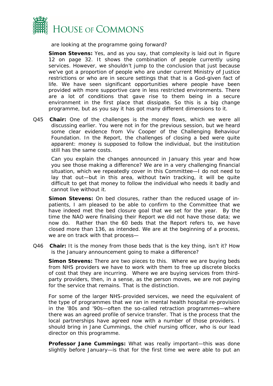

are looking at the programme going forward?

*Simon Stevens:* Yes, and as you say, that complexity is laid out in figure 12 on page 32. It shows the combination of people currently using services. However, we shouldn't jump to the conclusion that just because we've got a proportion of people who are under current Ministry of Justice restrictions or who are in secure settings that that is a God-given fact of life. We have seen significant opportunities where people have been provided with more supportive care in less restricted environments. There are a lot of conditions that gave rise to them being in a secure environment in the first place that dissipate. So this is a big change programme, but as you say it has got many different dimensions to it.

Q45 **Chair:** One of the challenges is the money flows, which we were all discussing earlier. You were not in for the previous session, but we heard some clear evidence from Viv Cooper of the Challenging Behaviour Foundation. In the Report, the challenges of closing a bed were quite apparent: money is supposed to follow the individual, but the institution still has the same costs.

Can you explain the changes announced in January this year and how you see those making a difference? We are in a very challenging financial situation, which we repeatedly cover in this Committee—I do not need to lay that out—but in this area, without twin tracking, it will be quite difficult to get that money to follow the individual who needs it badly and cannot live without it.

*Simon Stevens:* On bed closures, rather than the reduced usage of inpatients, I am pleased to be able to confirm to the Committee that we have indeed met the bed closure goal that we set for the year. By the time the NAO were finalising their Report we did not have those data; we now do. Rather than the 60 beds that the Report refers to, we have closed more than 136, as intended. We are at the beginning of a process, we are on track with that process—

Q46 **Chair:** It is the money from those beds that is the key thing, isn't it? How is the January announcement going to make a difference?

*Simon Stevens:* There are two pieces to this. Where we are buying beds from NHS providers we have to work with them to free up discrete blocks of cost that they are incurring. Where we are buying services from thirdparty providers, then, in a sense, as the person moves, we are not paying for the service that remains. That is the distinction.

For some of the larger NHS-provided services, we need the equivalent of the type of programmes that we ran in mental health hospital re-provision in the '80s and '90s—often the so-called retraction programmes—where there was an agreed profile of service transfer. That is the process that the local partnerships have agreed now with a number of those providers. I should bring in Jane Cummings, the chief nursing officer, who is our lead director on this programme.

*Professor Jane Cummings:* What was really important—this was done slightly before January—is that for the first time we were able to put an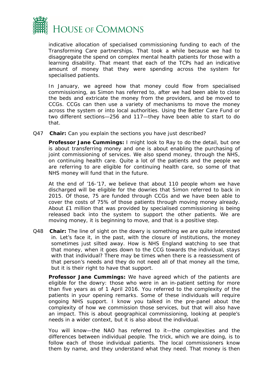

indicative allocation of specialised commissioning funding to each of the Transforming Care partnerships. That took a while because we had to disaggregate the spend on complex mental health patients for those with a learning disability. That meant that each of the TCPs had an indicative amount of money that they were spending across the system for specialised patients.

In January, we agreed how that money could flow from specialised commissioning, as Simon has referred to, after we had been able to close the beds and extricate the money from the providers, and be moved to CCGs. CCGs can then use a variety of mechanisms to move the money across the system or into local authorities. Using the Better Care Fund or two different sections—256 and 117—they have been able to start to do that.

Q47 **Chair:** Can you explain the sections you have just described?

**Professor Jane Cummings:** I might look to Ray to do the detail, but one is about transferring money and one is about enabling the purchasing of joint commissioning of services. We also spend money, through the NHS, on continuing health care. Quite a lot of the patients and the people we are referring to are eligible for continuing health care, so some of that NHS money will fund that in the future.

At the end of '16-'17, we believe that about 110 people whom we have discharged will be eligible for the dowries that Simon referred to back in 2015. Of those, 75 are funded through CCGs and we have been able to cover the costs of 75% of those patients through moving money already. About £1 million that was provided by specialised commissioning is being released back into the system to support the other patients. We are moving money, it is beginning to move, and that is a positive step.

Q48 **Chair:** The line of sight on the dowry is something we are quite interested in. Let's face it, in the past, with the closure of institutions, the money sometimes just silted away. How is NHS England watching to see that that money, when it goes down to the CCG towards the individual, stays with that individual? There may be times when there is a reassessment of that person's needs and they do not need all of that money all the time, but it is their right to have that support.

*Professor Jane Cummings:* We have agreed which of the patients are eligible for the dowry: those who were in an in-patient setting for more than five years as of 1 April 2016. You referred to the complexity of the patients in your opening remarks. Some of these individuals will require ongoing NHS support. I know you talked in the pre-panel about the complexity of how we commission those services, but that will also have an impact. This is about geographical commissioning, looking at people's needs in a wider context, but it is also about the individual.

You will know—the NAO has referred to it—the complexities and the differences between individual people. The trick, which we are doing, is to follow each of those individual patients. The local commissioners know them by name, and they understand what they need. That money is then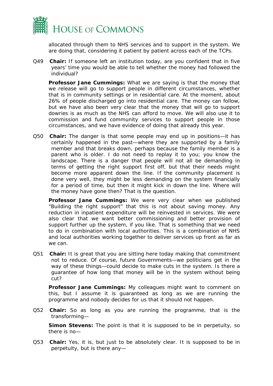

allocated through them to NHS services and to support in the system. We are doing that, considering it patient by patient across each of the TCPs.

Q49 **Chair:** If someone left an institution today, are you confident that in five years' time you would be able to tell whether the money had followed the individual?

*Professor Jane Cummings:* What we are saying is that the money that we release will go to support people in different circumstances, whether that is in community settings or in residential care. At the moment, about 26% of people discharged go into residential care. The money can follow, but we have also been very clear that the money that will go to support dowries is as much as the NHS can afford to move. We will also use it to commission and fund community services to support people in those circumstances, and we have evidence of doing that already this year.

Q50 **Chair:** The danger is that some people may end up in positions—it has certainly happened in the past—where they are supported by a family member and that breaks down, perhaps because the family member is a parent who is older. I do not need to replay it to you; you know the landscape. There is a danger that people will not all be demanding in terms of getting the right support first off, but that their needs might become more apparent down the line. If the community placement is done very well, they might be less demanding on the system financially for a period of time, but then it might kick in down the line. Where will the money have gone then? That is the question.

*Professor Jane Cummings:* We were very clear when we published "Building the right support" that this is not about saving money. Any reduction in inpatient expenditure will be reinvested in services. We were also clear that we want better commissioning and better provision of support further up the system, if you like. That is something that we need to do in combination with local authorities. This is a combination of NHS and local authorities working together to deliver services up front as far as we can.

Q51 **Chair:** It is great that you are sitting here today making that commitment not to reduce. Of course, future Governments—we politicians get in the way of these things—could decide to make cuts in the system. Is there a guarantee of how long that money will be in the system without being cut?

*Professor Jane Cummings:* My colleagues might want to comment on this, but I assume it is guaranteed as long as we are running the programme and nobody decides for us that it should not happen.

Q52 **Chair:** So as long as you are running the programme, that is the transforming—

**Simon Stevens:** The point is that it is supposed to be in perpetuity, so there is no—

Q53 **Chair:** Yes, it is, but just to be absolutely clear. It is supposed to be in perpetuity, but is there any—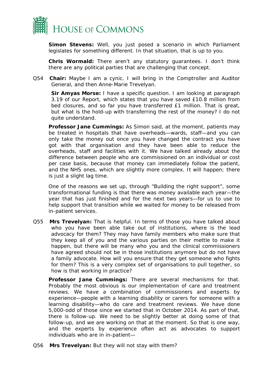

*Simon Stevens:* Well, you just posed a scenario in which Parliament legislates for something different. In that situation, that is up to you.

*Chris Wormald:* There aren't any statutory guarantees. I don't think there are any political parties that are challenging that concept.

Q54 **Chair:** Maybe I am a cynic. I will bring in the Comptroller and Auditor General, and then Anne-Marie Trevelyan.

**Sir Amyas Morse:** I have a specific question. I am looking at paragraph 3.19 of our Report, which states that you have saved £10.8 million from bed closures, and so far you have transferred £1 million. That is great, but what is the hold-up with transferring the rest of the money? I do not quite understand.

**Professor Jane Cummings:** As Simon said, at the moment, patients may be treated in hospitals that have overheads—wards, staff—and you can only take the money out once you have changed the contract you have got with that organisation and they have been able to reduce the overheads, staff and facilities with it. We have talked already about the difference between people who are commissioned on an individual or cost per case basis, because that money can immediately follow the patient, and the NHS ones, which are slightly more complex. It will happen; there is just a slight lag time.

One of the reasons we set up, through "Building the right support", some transformational funding is that there was money available each year—the year that has just finished and for the next two years—for us to use to help support that transition while we waited for money to be released from in-patient services.

Q55 **Mrs Trevelyan:** That is helpful. In terms of those you have talked about who you have been able take out of institutions, where is the lead advocacy for them? They may have family members who make sure that they keep all of you and the various parties on their mettle to make it happen, but there will be many who you and the clinical commissioners have agreed should not be in those institutions anymore but do not have a family advocate. How will you ensure that they get someone who fights for them? This is a very complex set of organisations to pull together, so how is that working in practice?

*Professor Jane Cummings:* There are several mechanisms for that. Probably the most obvious is our implementation of care and treatment reviews. We have a combination of commissioners and experts by experience—people with a learning disability or carers for someone with a learning disability—who do care and treatment reviews. We have done 5,000-odd of those since we started that in October 2014. As part of that, there is follow-up. We need to be slightly better at doing some of that follow-up, and we are working on that at the moment. So that is one way, and the experts by experience often act as advocates to support individuals who are in in-patient—

Q56 **Mrs Trevelyan:** But they will not stay with them?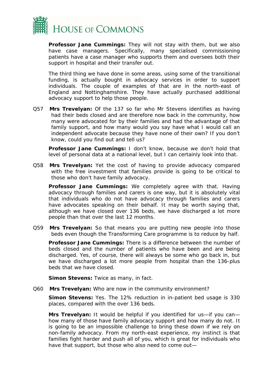

*Professor Jane Cummings:* They will not stay with them, but we also have case managers. Specifically, many specialised commissioning patients have a case manager who supports them and oversees both their support in hospital and their transfer out.

The third thing we have done in some areas, using some of the transitional funding, is actually bought in advocacy services in order to support individuals. The couple of examples of that are in the north-east of England and Nottinghamshire. They have actually purchased additional advocacy support to help those people.

Q57 **Mrs Trevelyan:** Of the 137 so far who Mr Stevens identifies as having had their beds closed and are therefore now back in the community, how many were advocated for by their families and had the advantage of that family support, and how many would you say have what I would call an independent advocate because they have none of their own? If you don't know, could you find out and tell us?

*Professor Jane Cummings:* I don't know, because we don't hold that level of personal data at a national level, but I can certainly look into that.

Q58 **Mrs Trevelyan:** Yet the cost of having to provide advocacy compared with the free investment that families provide is going to be critical to those who don't have family advocacy.

*Professor Jane Cummings:* We completely agree with that. Having advocacy through families and carers is one way, but it is absolutely vital that individuals who do not have advocacy through families and carers have advocates speaking on their behalf. It may be worth saying that, although we have closed over 136 beds, we have discharged a lot more people than that over the last 12 months.

Q59 **Mrs Trevelyan:** So that means you are putting new people into those beds even though the Transforming Care programme is to reduce by half.

*Professor Jane Cummings:* There is a difference between the number of beds closed and the number of patients who have been and are being discharged. Yes, of course, there will always be some who go back in, but we have discharged a lot more people from hospital than the 136-plus beds that we have closed.

**Simon Stevens:** Twice as many, in fact.

Q60 **Mrs Trevelyan:** Who are now in the community environment?

*Simon Stevens:* Yes. The 12% reduction in in-patient bed usage is 330 places, compared with the over 136 beds.

**Mrs Trevelyan:** It would be helpful if you identified for us—if you can how many of those have family advocacy support and how many do not. It is going to be an impossible challenge to bring these down if we rely on non-family advocacy. From my north-east experience, my instinct is that families fight harder and push all of you, which is great for individuals who have that support, but those who also need to come out—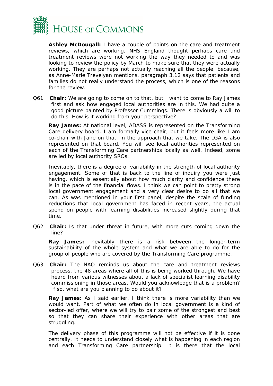

*Ashley McDougall:* I have a couple of points on the care and treatment reviews, which are working. NHS England thought perhaps care and treatment reviews were not working the way they needed to and was looking to review the policy by March to make sure that they were actually working. They are perhaps not actually reaching all the people, because, as Anne-Marie Trevelyan mentions, paragraph 3.12 says that patients and families do not really understand the process, which is one of the reasons for the review.

Q61 **Chair:** We are going to come on to that, but I want to come to Ray James first and ask how engaged local authorities are in this. We had quite a good picture painted by Professor Cummings. There is obviously a will to do this. How is it working from your perspective?

*Ray James:* At national level, ADASS is represented on the Transforming Care delivery board. I am formally vice-chair, but it feels more like I am co-chair with Jane on that, in the approach that we take. The LGA is also represented on that board. You will see local authorities represented on each of the Transforming Care partnerships locally as well. Indeed, some are led by local authority SROs.

Inevitably, there is a degree of variability in the strength of local authority engagement. Some of that is back to the line of inquiry you were just having, which is essentially about how much clarity and confidence there is in the pace of the financial flows. I think we can point to pretty strong local government engagement and a very clear desire to do all that we can. As was mentioned in your first panel, despite the scale of funding reductions that local government has faced in recent years, the actual spend on people with learning disabilities increased slightly during that time.

Q62 **Chair:** Is that under threat in future, with more cuts coming down the line?

*Ray James:* Inevitably there is a risk between the longer-term sustainability of the whole system and what we are able to do for the group of people who are covered by the Transforming Care programme.

Q63 **Chair:** The NAO reminds us about the care and treatment reviews process, the 48 areas where all of this is being worked through. We have heard from various witnesses about a lack of specialist learning disability commissioning in those areas. Would you acknowledge that is a problem? If so, what are you planning to do about it?

**Ray James:** As I said earlier, I think there is more variability than we would want. Part of what we often do in local government is a kind of sector-led offer, where we will try to pair some of the strongest and best so that they can share their experience with other areas that are struggling.

The delivery phase of this programme will not be effective if it is done centrally. It needs to understand closely what is happening in each region and each Transforming Care partnership. It is there that the local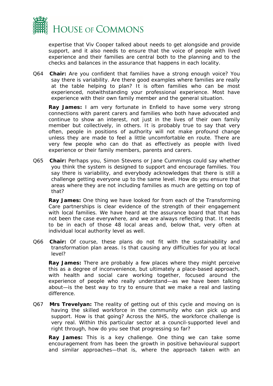

expertise that Viv Cooper talked about needs to get alongside and provide support, and it also needs to ensure that the voice of people with lived experience and their families are central both to the planning and to the checks and balances in the assurance that happens in each locality.

Q64 **Chair:** Are you confident that families have a strong enough voice? You say there is variability. Are there good examples where families are really at the table helping to plan? It is often families who can be most experienced, notwithstanding your professional experience. Most have experience with their own family member and the general situation.

**Ray James:** I am very fortunate in Enfield to have some very strong connections with parent carers and families who both have advocated and continue to show an interest, not just in the lives of their own family member but collectively, in others. It is probably true to say that very often, people in positions of authority will not make profound change unless they are made to feel a little uncomfortable en route. There are very few people who can do that as effectively as people with lived experience or their family members, parents and carers.

Q65 **Chair:** Perhaps you, Simon Stevens or Jane Cummings could say whether you think the system is designed to support and encourage families. You say there is variability, and everybody acknowledges that there is still a challenge getting everyone up to the same level. How do you ensure that areas where they are not including families as much are getting on top of that?

*Ray James:* One thing we have looked for from each of the Transforming Care partnerships is clear evidence of the strength of their engagement with local families. We have heard at the assurance board that that has not been the case everywhere, and we are always reflecting that. It needs to be in each of those 48 local areas and, below that, very often at individual local authority level as well.

Q66 **Chair:** Of course, these plans do not fit with the sustainability and transformation plan areas. Is that causing any difficulties for you at local level?

*Ray James:* There are probably a few places where they might perceive this as a degree of inconvenience, but ultimately a place-based approach, with health and social care working together, focused around the experience of people who really understand—as we have been talking about—is the best way to try to ensure that we make a real and lasting difference.

Q67 **Mrs Trevelyan:** The reality of getting out of this cycle and moving on is having the skilled workforce in the community who can pick up and support. How is that going? Across the NHS, the workforce challenge is very real. Within this particular sector at a council-supported level and right through, how do you see that progressing so far?

*Ray James:* This is a key challenge. One thing we can take some encouragement from has been the growth in positive behavioural support and similar approaches—that is, where the approach taken with an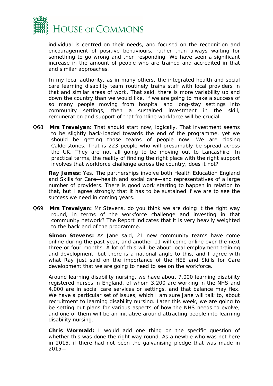

individual is centred on their needs, and focused on the recognition and encouragement of positive behaviours, rather than always waiting for something to go wrong and then responding. We have seen a significant increase in the amount of people who are trained and accredited in that and similar approaches.

In my local authority, as in many others, the integrated health and social care learning disability team routinely trains staff with local providers in that and similar areas of work. That said, there is more variability up and down the country than we would like. If we are going to make a success of so many people moving from hospital and long-stay settings into community settings, then a sustained investment in the skill, remuneration and support of that frontline workforce will be crucial.

Q68 **Mrs Trevelyan:** That should start now, logically. That investment seems to be slightly back-loaded towards the end of the programme, yet we should be getting those teams of people now. We are closing Calderstones. That is 223 people who will presumably be spread across the UK. They are not all going to be moving out to Lancashire. In practical terms, the reality of finding the right place with the right support involves that workforce challenge across the country, does it not?

*Ray James:* Yes. The partnerships involve both Health Education England and Skills for Care—health and social care—and representatives of a large number of providers. There is good work starting to happen in relation to that, but I agree strongly that it has to be sustained if we are to see the success we need in coming years.

Q69 **Mrs Trevelyan:** Mr Stevens, do you think we are doing it the right way round, in terms of the workforce challenge and investing in that community network? The Report indicates that it is very heavily weighted to the back end of the programme.

*Simon Stevens:* As Jane said, 21 new community teams have come online during the past year, and another 11 will come online over the next three or four months. A lot of this will be about local employment training and development, but there is a national angle to this, and I agree with what Ray just said on the importance of the HEE and Skills for Care development that we are going to need to see on the workforce.

Around learning disability nursing, we have about 7,000 learning disability registered nurses in England, of whom 3,200 are working in the NHS and 4,000 are in social care services or settings, and that balance may flex. We have a particular set of issues, which I am sure Jane will talk to, about recruitment to learning disability nursing. Later this week, we are going to be setting out plans for various aspects of how the NHS needs to evolve, and one of them will be an initiative around attracting people into learning disability nursing.

*Chris Wormald:* I would add one thing on the specific question of whether this was done the right way round. As a newbie who was not here in 2015, if there had not been the galvanising pledge that was made in 2015—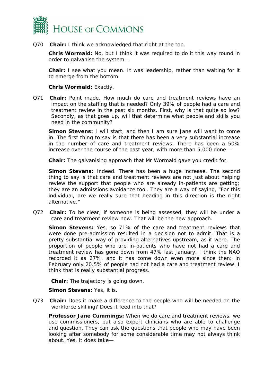

Q70 **Chair:** I think we acknowledged that right at the top.

*Chris Wormald:* No, but I think it was required to do it this way round in order to galvanise the system—

**Chair:** I see what you mean. It was leadership, rather than waiting for it to emerge from the bottom.

#### *Chris Wormald:* Exactly.

Q71 **Chair:** Point made. How much do care and treatment reviews have an impact on the staffing that is needed? Only 39% of people had a care and treatment review in the past six months. First, why is that quite so low? Secondly, as that goes up, will that determine what people and skills you need in the community?

*Simon Stevens:* I will start, and then I am sure Jane will want to come in. The first thing to say is that there has been a very substantial increase in the number of care and treatment reviews. There has been a 50% increase over the course of the past year, with more than 5,000 done—

**Chair:** The galvanising approach that Mr Wormald gave you credit for.

**Simon Stevens:** Indeed. There has been a huge increase. The second thing to say is that care and treatment reviews are not just about helping review the support that people who are already in-patients are getting; they are an admissions avoidance tool. They are a way of saying, "For this individual, are we really sure that heading in this direction is the right alternative."

Q72 **Chair:** To be clear, if someone is being assessed, they will be under a care and treatment review now. That will be the new approach.

*Simon Stevens:* Yes, so 71% of the care and treatment reviews that were done pre-admission resulted in a decision not to admit. That is a pretty substantial way of providing alternatives upstream, as it were. The proportion of people who are in-patients who have not had a care and treatment review has gone down from 47% last January. I think the NAO recorded it as 27%, and it has come down even more since then: in February only 20.5% of people had not had a care and treatment review. I think that is really substantial progress.

**Chair:** The trajectory is going down.

*Simon Stevens:* Yes, it is.

Q73 **Chair:** Does it make a difference to the people who will be needed on the workforce skilling? Does it feed into that?

*Professor Jane Cummings:* When we do care and treatment reviews, we use commissioners, but also expert clinicians who are able to challenge and question. They can ask the questions that people who may have been looking after somebody for some considerable time may not always think about. Yes, it does take—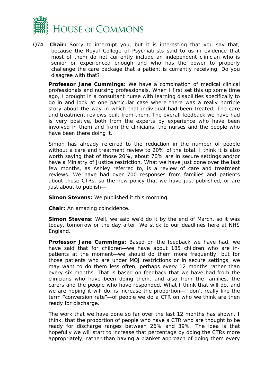

Q74 **Chair:** Sorry to interrupt you, but it is interesting that you say that, because the Royal College of Psychiatrists said to us in evidence that most of them do not currently include an independent clinician who is senior or experienced enough and who has the power to properly challenge the care package that a patient is currently receiving. Do you disagree with that?

*Professor Jane Cummings:* We have a combination of medical clinical professionals and nursing professionals. When I first set this up some time ago, I brought in a consultant nurse with learning disabilities specifically to go in and look at one particular case where there was a really horrible story about the way in which that individual had been treated. The care and treatment reviews built from them. The overall feedback we have had is very positive, both from the experts by experience who have been involved in them and from the clinicians, the nurses and the people who have been there doing it.

Simon has already referred to the reduction in the number of people without a care and treatment review to 20% of the total. I think it is also worth saying that of those 20%, about 70% are in secure settings and/or have a Ministry of Justice restriction. What we have just done over the last few months, as Ashley referred to, is a review of care and treatment reviews. We have had over 700 responses from families and patients about those CTRs, so the new policy that we have just published, or are just about to publish—

*Simon Stevens:* We published it this morning.

**Chair:** An amazing coincidence.

**Simon Stevens:** Well, we said we'd do it by the end of March, so it was today, tomorrow or the day after. We stick to our deadlines here at NHS England.

*Professor Jane Cummings:* Based on the feedback we have had, we have said that for children—we have about 185 children who are inpatients at the moment—we should do them more frequently, but for those patients who are under MOJ restrictions or in secure settings, we may want to do them less often, perhaps every 12 months rather than every six months. That is based on feedback that we have had from the clinicians who have been doing them, and also from the families, the carers and the people who have responded. What I think that will do, and we are hoping it will do, is increase the proportion—I don't really like the term "conversion rate"—of people we do a CTR on who we think are then ready for discharge.

The work that we have done so far over the last 12 months has shown, I think, that the proportion of people who have a CTR who are thought to be ready for discharge ranges between 26% and 39%. The idea is that hopefully we will start to increase that percentage by doing the CTRs more appropriately, rather than having a blanket approach of doing them every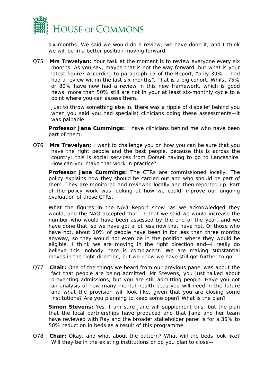

six months. We said we would do a review; we have done it, and I think we will be in a better position moving forward.

Q75 **Mrs Trevelyan:** Your task at the moment is to review everyone every six months. As you say, maybe that is not the way forward, but what is your latest figure? According to paragraph 15 of the Report, "only 39%... had had a review within the last six months". That is a big cohort. Whilst 75% or 80% have now had a review in this new framework, which is good news, more than 50% still are not in your at least six-monthly cycle to a point where you can assess them.

Just to throw something else in, there was a ripple of disbelief behind you when you said you had specialist clinicians doing these assessments—it was palpable.

*Professor Jane Cummings:* I have clinicians behind me who have been part of them.

Q76 **Mrs Trevelyan:** I want to challenge you on how you can be sure that you have the right people and the best people, because this is across the country; this is social services from Dorset having to go to Lancashire. How can you make that work in practice?

*Professor Jane Cummings:* The CTRs are commissioned locally. The policy explains how they should be carried out and who should be part of them. They are monitored and reviewed locally and then reported up. Part of the policy work was looking at how we could improve our ongoing evaluation of those CTRs.

What the figures in the NAO Report show—as we acknowledged they would, and the NAO accepted that—is that we said we would increase the number who would have been assessed by the end of the year, and we have done that, so we have got a lot less now that have not. Of those who have not, about 10% of people have been in for less than three months anyway, so they would not even be in the position where they would be eligible. I think we are moving in the right direction and—I really do believe this—nobody here is complacent. We are making substantial moves in the right direction, but we know we have still got further to go.

Q77 **Chair:** One of the things we heard from our previous panel was about the fact that people are being admitted. Mr Stevens, you just talked about preventing admissions, but you are still admitting people. Have you got an analysis of how many mental health beds you will need in the future and what the provision will look like, given that you are closing some institutions? Are you planning to keep some open? What is the plan?

**Simon Stevens:** Yes. I am sure Jane will supplement this, but the plan that the local partnerships have produced and that Jane and her team have reviewed with Ray and the broader stakeholder panel is for a 35% to 50% reduction in beds as a result of this programme.

Q78 **Chair:** Okay, and what about the pattern? What will the beds look like? Will they be in the existing institutions or do you plan to close—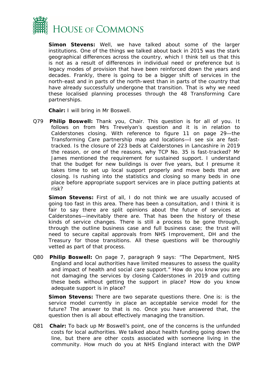

*Simon Stevens:* Well, we have talked about some of the larger institutions. One of the things we talked about back in 2015 was the stark geographical differences across the country, which I think tell us that this is not as a result of differences in individual need or preference but is legacy modes of provision that have been reinforced down the years and decades. Frankly, there is going to be a bigger shift of services in the north-east and in parts of the north-west than in parts of the country that have already successfully undergone that transition. That is why we need these localised planning processes through the 48 Transforming Care partnerships.

**Chair:** I will bring in Mr Boswell.

Q79 **Philip Boswell:** Thank you, Chair. This question is for all of you. It follows on from Mrs Trevelyan's question and it is in relation to Calderstones closing. With reference to figure 11 on page 29—the Transforming Care partnership map and locations—I see six are fasttracked. Is the closure of 223 beds at Calderstones in Lancashire in 2019 the reason, or one of the reasons, why TCP No. 35 is fast-tracked? Mr James mentioned the requirement for sustained support. I understand that the budget for new buildings is over five years, but I presume it takes time to set up local support properly and move beds that are closing. Is rushing into the statistics and closing so many beds in one place before appropriate support services are in place putting patients at risk?

**Simon Stevens:** First of all, I do not think we are usually accused of going too fast in this area. There has been a consultation, and I think it is fair to say there are split opinions about the future of services at Calderstones—inevitably there are. That has been the history of these kinds of service changes. There is still a process to be gone through, through the outline business case and full business case; the trust will need to secure capital approvals from NHS Improvement, DH and the Treasury for those transitions. All these questions will be thoroughly vetted as part of that process.

Q80 **Philip Boswell:** On page 7, paragraph 9 says: "The Department, NHS England and local authorities have limited measures to assess the quality and impact of health and social care support." How do you know you are not damaging the services by closing Calderstones in 2019 and cutting these beds without getting the support in place? How do you know adequate support is in place?

*Simon Stevens:* There are two separate questions there. One is: is the service model currently in place an acceptable service model for the future? The answer to that is no. Once you have answered that, the question then is all about effectively managing the transition.

Q81 **Chair:** To back up Mr Boswell's point, one of the concerns is the unfunded costs for local authorities. We talked about health funding going down the line, but there are other costs associated with someone living in the community. How much do you at NHS England interact with the DWP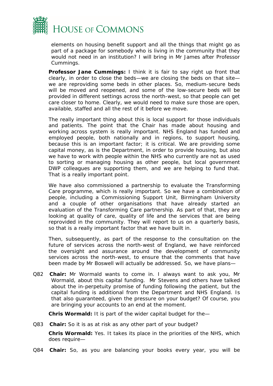

elements on housing benefit support and all the things that might go as part of a package for somebody who is living in the community that they would not need in an institution? I will bring in Mr James after Professor Cummings.

*Professor Jane Cummings:* I think it is fair to say right up front that clearly, in order to close the beds—we are closing the beds on that site we are reproviding some beds in other places. So, medium-secure beds will be moved and reopened, and some of the low-secure beds will be provided in different settings across the north-west, so that people can get care closer to home. Clearly, we would need to make sure those are open, available, staffed and all the rest of it before we move.

The really important thing about this is local support for those individuals and patients. The point that the Chair has made about housing and working across system is really important. NHS England has funded and employed people, both nationally and in regions, to support housing, because this is an important factor; it is critical. We are providing some capital money, as is the Department, in order to provide housing, but also we have to work with people within the NHS who currently are not as used to sorting or managing housing as other people, but local government DWP colleagues are supporting them, and we are helping to fund that. That is a really important point.

We have also commissioned a partnership to evaluate the Transforming Care programme, which is really important. So we have a combination of people, including a Commissioning Support Unit, Birmingham University and a couple of other organisations that have already started an evaluation of the Transforming Care partnership. As part of that, they are looking at quality of care, quality of life and the services that are being reprovided in the community. They will report to us on a quarterly basis, so that is a really important factor that we have built in.

Then, subsequently, as part of the response to the consultation on the future of services across the north-west of England, we have reinforced the oversight and assurance around the development of community services across the north-west, to ensure that the comments that have been made by Mr Boswell will actually be addressed. So, we have plans—

Q82 **Chair:** Mr Wormald wants to come in. I always want to ask you, Mr Wormald, about this capital funding. Mr Stevens and others have talked about the in-perpetuity promise of funding following the patient, but the capital funding is additional from the Department and NHS England. Is that also guaranteed, given the pressure on your budget? Of course, you are bringing your accounts to an end at the moment.

*Chris Wormald:* It is part of the wider capital budget for the—

Q83 **Chair:** So it is as at risk as any other part of your budget?

*Chris Wormald:* Yes. It takes its place in the priorities of the NHS, which does require—

Q84 **Chair:** So, as you are balancing your books every year, you will be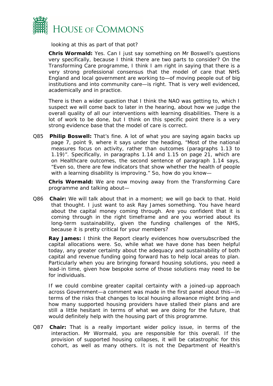

looking at this as part of that pot?

*Chris Wormald:* Yes. Can I just say something on Mr Boswell's questions very specifically, because I think there are two parts to consider? On the Transforming Care programme, I think I am right in saying that there is a very strong professional consensus that the model of care that NHS England and local government are working to—of moving people out of big institutions and into community care—is right. That is very well evidenced, academically and in practice.

There is then a wider question that I think the NAO was getting to, which I suspect we will come back to later in the hearing, about how we judge the overall quality of all our interventions with learning disabilities. There is a lot of work to be done, but I think on this specific point there is a very strong evidence base that the model of care is correct.

Q85 **Philip Boswell:** That's fine. A lot of what you are saying again backs up page 7, point 9, where it says under the heading, "Most of the national measures focus on activity, rather than outcomes (paragraphs 1.13 to 1.19)". Specifically, in paragraphs 1.14 and 1.15 on page 21, which are on Healthcare outcomes, the second sentence of paragraph 1.14 says, "Even so, there are few indicators that show whether the health of people with a learning disability is improving." So, how do you know-

*Chris Wormald:* We are now moving away from the Transforming Care programme and talking about—

Q86 **Chair:** We will talk about that in a moment; we will go back to that. Hold that thought. I just want to ask Ray James something. You have heard about the capital money coming through. Are you confident that it is coming through in the right timeframe and are you worried about its long-term sustainability, given the funding challenges of the NHS, because it is pretty critical for your members?

**Ray James:** I think the Report clearly evidences how oversubscribed the capital allocations were. So, while what we have done has been helpful today, any greater certainty about the adequacy and sustainability of both capital and revenue funding going forward has to help local areas to plan. Particularly when you are bringing forward housing solutions, you need a lead-in time, given how bespoke some of those solutions may need to be for individuals.

If we could combine greater capital certainty with a joined-up approach across Government—a comment was made in the first panel about this—in terms of the risks that changes to local housing allowance might bring and how many supported housing providers have stalled their plans and are still a little hesitant in terms of what we are doing for the future, that would definitely help with the housing part of this programme.

Q87 **Chair:** That is a really important wider policy issue, in terms of the interaction. Mr Wormald, you are responsible for this overall. If the provision of supported housing collapses, it will be catastrophic for this cohort, as well as many others. It is not the Department of Health's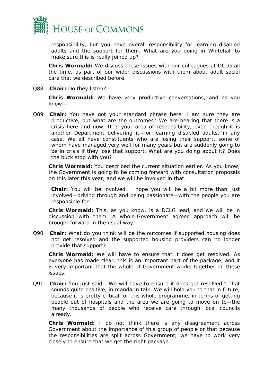

responsibility, but you have overall responsibility for learning disabled adults and the support for them. What are you doing in Whitehall to make sure this is really joined up?

*Chris Wormald:* We discuss these issues with our colleagues at DCLG all the time, as part of our wider discussions with them about adult social care that we described before.

Q88 **Chair:** Do they listen?

*Chris Wormald:* We have very productive conversations, and as you know—

Q89 **Chair:** You have got your standard phrase here. I am sure they are productive, but what are the outcomes? We are hearing that there is a crisis here and now. It is your area of responsibility, even though it is another Department delivering it—for learning disabled adults, in any case. We all have constituents who are losing their support, some of whom have managed very well for many years but are suddenly going to be in crisis if they lose that support. What are you doing about it? Does the buck stop with you?

*Chris Wormald:* You described the current situation earlier. As you know, the Government is going to be coming forward with consultation proposals on this later this year, and we will be involved in that.

**Chair:** You will be involved. I hope you will be a bit more than just involved—driving through and being passionate—with the people you are responsible for.

*Chris Wormald:* This, as you know, is a DCLG lead, and we will be in discussion with them. A whole-Government agreed approach will be brought forward in the usual way.

Q90 **Chair:** What do you think will be the outcomes if supported housing does not get resolved and the supported housing providers can no longer provide that support?

*Chris Wormald:* We will have to ensure that it does get resolved. As everyone has made clear, this is an important part of the package, and it is very important that the whole of Government works together on these issues.

Q91 **Chair:** You just said, "We will have to ensure it does get resolved." That sounds quite positive, in mandarin talk. We will hold you to that in future, because it is pretty critical for this whole programme, in terms of getting people out of hospitals and the area we are going to move on to—the many thousands of people who receive care through local councils already.

*Chris Wormald:* I do not think there is any disagreement across Government about the importance of this group of people or that because the responsibilities are split across Government; we have to work very closely to ensure that we get the right package.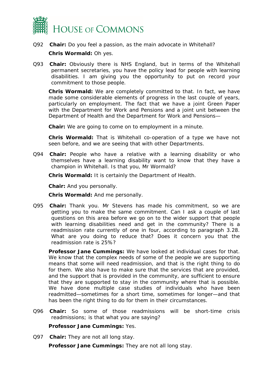

Q92 **Chair:** Do you feel a passion, as the main advocate in Whitehall?

#### *Chris Wormald:* Oh yes.

Q93 **Chair:** Obviously there is NHS England, but in terms of the Whitehall permanent secretaries, you have the policy lead for people with learning disabilities. I am giving you the opportunity to put on record your commitment to those people.

*Chris Wormald:* We are completely committed to that. In fact, we have made some considerable elements of progress in the last couple of years, particularly on employment. The fact that we have a joint Green Paper with the Department for Work and Pensions and a joint unit between the Department of Health and the Department for Work and Pensions—

**Chair:** We are going to come on to employment in a minute.

*Chris Wormald:* That is Whitehall co-operation of a type we have not seen before, and we are seeing that with other Departments.

Q94 **Chair:** People who have a relative with a learning disability or who themselves have a learning disability want to know that they have a champion in Whitehall. Is that you, Mr Wormald?

*Chris Wormald:* It is certainly the Department of Health.

**Chair:** And you personally.

*Chris Wormald:* And me personally.

Q95 **Chair:** Thank you. Mr Stevens has made his commitment, so we are getting you to make the same commitment. Can I ask a couple of last questions on this area before we go on to the wider support that people with learning disabilities need and get in the community? There is a readmission rate currently of one in four, according to paragraph 3.28. What are you doing to reduce that? Does it concern you that the readmission rate is 25%?

*Professor Jane Cummings:* We have looked at individual cases for that. We know that the complex needs of some of the people we are supporting means that some will need readmission, and that is the right thing to do for them. We also have to make sure that the services that are provided, and the support that is provided in the community, are sufficient to ensure that they are supported to stay in the community where that is possible. We have done multiple case studies of individuals who have been readmitted—sometimes for a short time, sometimes for longer—and that has been the right thing to do for them in their circumstances.

Q96 **Chair:** So some of those readmissions will be short-time crisis readmissions; is that what you are saying?

*Professor Jane Cummings:* Yes.

Q97 **Chair:** They are not all long stay.

*Professor Jane Cummings:* They are not all long stay.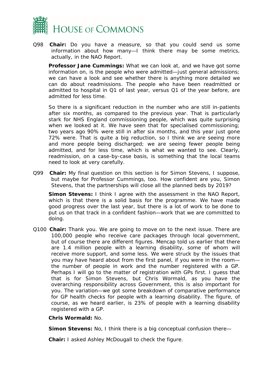

Q98 **Chair:** Do you have a measure, so that you could send us some information about how many—I think there may be some metrics, actually, in the NAO Report.

*Professor Jane Cummings:* What we can look at, and we have got some information on, is the people who were admitted—just general admissions; we can have a look and see whether there is anything more detailed we can do about readmissions. The people who have been readmitted or admitted to hospital in Q1 of last year, versus Q1 of the year before, are admitted for less time.

So there is a significant reduction in the number who are still in-patients after six months, as compared to the previous year. That is particularly stark for NHS England commissioning people, which was quite surprising when we looked at it. We have seen that for specialised commissioning; two years ago 90% were still in after six months, and this year just gone 72% were. That is quite a big reduction, so I think we are seeing more and more people being discharged; we are seeing fewer people being admitted, and for less time, which is what we wanted to see. Clearly, readmission, on a case-by-case basis, is something that the local teams need to look at very carefully.

Q99 **Chair:** My final question on this section is for Simon Stevens, I suppose, but maybe for Professor Cummings, too. How confident are you, Simon Stevens, that the partnerships will close all the planned beds by 2019?

*Simon Stevens:* I think I agree with the assessment in the NAO Report, which is that there is a solid basis for the programme. We have made good progress over the last year, but there is a lot of work to be done to put us on that track in a confident fashion—work that we are committed to doing.

Q100 **Chair:** Thank you. We are going to move on to the next issue. There are 100,000 people who receive care packages through local government, but of course there are different figures. Mencap told us earlier that there are 1.4 million people with a learning disability, some of whom will receive more support, and some less. We were struck by the issues that you may have heard about from the first panel, if you were in the room the number of people in work and the number registered with a GP. Perhaps I will go to the matter of registration with GPs first. I guess that that is for Simon Stevens, but Chris Wormald, as you have the overarching responsibility across Government, this is also important for you. The variation—we got some breakdown of comparative performance for GP health checks for people with a learning disability. The figure, of course, as we heard earlier, is 23% of people with a learning disability registered with a GP.

*Chris Wormald:* No.

*Simon Stevens:* No, I think there is a big conceptual confusion there—

**Chair:** I asked Ashley McDougall to check the figure.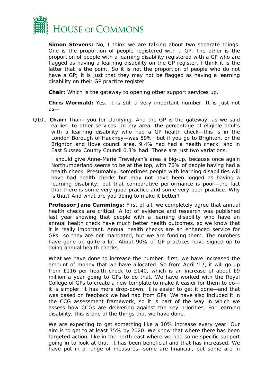

*Simon Stevens:* No, I think we are talking about two separate things. One is the proportion of people registered with a GP. The other is the proportion of people with a learning disability registered with a GP who are flagged as having a learning disability on the GP register. I think it is the latter that is the point. So it is not the proportion of people who do not have a GP; it is just that they may not be flagged as having a learning disability on their GP practice register.

**Chair:** Which is the gateway to opening other support services up.

*Chris Wormald:* Yes. It is still a very important number. It is just not as—

Q101 **Chair:** Thank you for clarifying. And the GP is the gateway, as we said earlier, to other services. In my area, the percentage of eligible adults with a learning disability who had a GP health check—this is in the London Borough of Hackney—was 59%; but if you go to Brighton, or the Brighton and Hove council area, 9.4% had had a health check; and in East Sussex County Council 6.3% had. Those are just two variations.

I should give Anne-Marie Trevelyan's area a big-up, because once again Northumberland seems to be at the top, with 76% of people having had a health check. Presumably, sometimes people with learning disabilities will have had health checks but may not have been logged as having a learning disability; but that comparative performance is poor—the fact that there is some very good practice and some very poor practice. Why is that? And what are you doing to make it better?

**Professor Jane Cummings:** First of all, we completely agree that annual health checks are critical. A lot of evidence and research was published last year showing that people with a learning disability who have an annual health check have much better health outcomes, so we know that it is really important. Annual health checks are an enhanced service for GPs—so they are not mandated, but we are funding them. The numbers have gone up quite a lot. About 90% of GP practices have signed up to doing annual health checks.

What we have done to increase the number: first, we have increased the amount of money that we have allocated. So from April '17, it will go up from £116 per health check to £140, which is an increase of about £9 million a year going to GPs to do that. We have worked with the Royal College of GPs to create a new template to make it easier for them to do it is simpler, it has more drop-down, it is easier to get it done—and that was based on feedback we had had from GPs. We have also included it in the CCG assessment framework, so it is part of the way in which we assess how CCGs are delivering against the key priorities. For learning disability, this is one of the things that we have done.

We are expecting to get something like a 10% increase every year. Our aim is to get to at least 75% by 2020. We know that where there has been targeted action, like in the north-east where we had some specific support going in to look at that, it has been beneficial and that has increased. We have put in a range of measures—some are financial, but some are in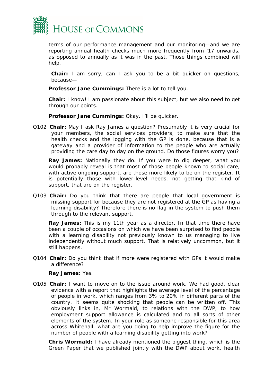

terms of our performance management and our monitoring—and we are reporting annual health checks much more frequently from '17 onwards, as opposed to annually as it was in the past. Those things combined will help.

**Chair:** I am sorry, can I ask you to be a bit quicker on questions, because—

*Professor Jane Cummings:* There is a lot to tell you.

**Chair:** I know! I am passionate about this subject, but we also need to get through our points.

*Professor Jane Cummings:* Okay. I'll be quicker.

Q102 **Chair:** May I ask Ray James a question? Presumably it is very crucial for your members, the social services providers, to make sure that the health checks and the logging with the GP is done, because that is a gateway and a provider of information to the people who are actually providing the care day to day on the ground. Do those figures worry you?

*Ray James:* Nationally they do. If you were to dig deeper, what you would probably reveal is that most of those people known to social care, with active ongoing support, are those more likely to be on the register. It is potentially those with lower-level needs, not getting that kind of support, that are on the register.

Q103 **Chair:** Do you think that there are people that local government is missing support for because they are not registered at the GP as having a learning disability? Therefore there is no flag in the system to push them through to the relevant support.

*Ray James:* This is my 11th year as a director. In that time there have been a couple of occasions on which we have been surprised to find people with a learning disability not previously known to us managing to live independently without much support. That is relatively uncommon, but it still happens.

Q104 **Chair:** Do you think that if more were registered with GPs it would make a difference?

#### *Ray James:* Yes.

Q105 **Chair:** I want to move on to the issue around work. We had good, clear evidence with a report that highlights the average level of the percentage of people in work, which ranges from 3% to 20% in different parts of the country. It seems quite shocking that people can be written off. This obviously links in, Mr Wormald, to relations with the DWP, to how employment support allowance is calculated and to all sorts of other elements of the system. In your role as someone responsible for this area across Whitehall, what are you doing to help improve the figure for the number of people with a learning disability getting into work?

*Chris Wormald:* I have already mentioned the biggest thing, which is the Green Paper that we published jointly with the DWP about work, health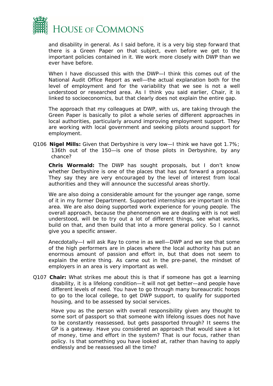

and disability in general. As I said before, it is a very big step forward that there is a Green Paper on that subject, even before we get to the important policies contained in it. We work more closely with DWP than we ever have before.

When I have discussed this with the DWP—I think this comes out of the National Audit Office Report as well—the actual explanation both for the level of employment and for the variability that we see is not a well understood or researched area. As I think you said earlier, Chair, it is linked to socioeconomics, but that clearly does not explain the entire gap.

The approach that my colleagues at DWP, with us, are taking through the Green Paper is basically to pilot a whole series of different approaches in local authorities, particularly around improving employment support. They are working with local government and seeking pilots around support for employment.

Q106 **Nigel Mills:** Given that Derbyshire is very low—I think we have got 1.7%; 136th out of the 150—is one of those pilots in Derbyshire, by any chance?

*Chris Wormald:* The DWP has sought proposals, but I don't know whether Derbyshire is one of the places that has put forward a proposal. They say they are very encouraged by the level of interest from local authorities and they will announce the successful areas shortly.

We are also doing a considerable amount for the younger age range, some of it in my former Department. Supported internships are important in this area. We are also doing supported work experience for young people. The overall approach, because the phenomenon we are dealing with is not well understood, will be to try out a lot of different things, see what works, build on that, and then build that into a more general policy. So I cannot give you a specific answer.

Anecdotally—I will ask Ray to come in as well—DWP and we see that some of the high performers are in places where the local authority has put an enormous amount of passion and effort in, but that does not seem to explain the entire thing. As came out in the pre-panel, the mindset of employers in an area is very important as well.

Q107 **Chair:** What strikes me about this is that if someone has got a learning disability, it is a lifelong condition—it will not get better—and people have different levels of need. You have to go through many bureaucratic hoops to go to the local college, to get DWP support, to qualify for supported housing, and to be assessed by social services.

Have you as the person with overall responsibility given any thought to some sort of passport so that someone with lifelong issues does not have to be constantly reassessed, but gets passported through? It seems the GP is a gateway. Have you considered an approach that would save a lot of money, time and effort in the system? That is our focus, rather than policy. Is that something you have looked at, rather than having to apply endlessly and be reassessed all the time?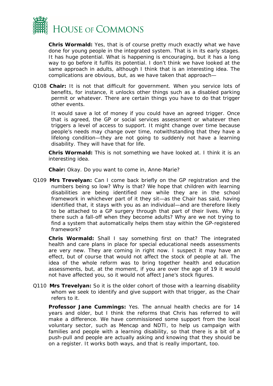

*Chris Wormald:* Yes, that is of course pretty much exactly what we have done for young people in the integrated system. That is in its early stages. It has huge potential. What is happening is encouraging, but it has a long way to go before it fulfils its potential. I don't think we have looked at the same approach in adults, although I think that is an interesting idea. The complications are obvious, but, as we have taken that approach—

Q108 **Chair:** It is not that difficult for government. When you service lots of benefits, for instance, it unlocks other things such as a disabled parking permit or whatever. There are certain things you have to do that trigger other events.

It would save a lot of money if you could have an agreed trigger. Once that is agreed, the GP or social services assessment or whatever then triggers a level of access to support. It might change over time because people's needs may change over time, notwithstanding that they have a lifelong condition—they are not going to suddenly not have a learning disability. They will have that for life.

*Chris Wormald:* This is not something we have looked at. I think it is an interesting idea.

**Chair:** Okay. Do you want to come in, Anne-Marie?

Q109 **Mrs Trevelyan:** Can I come back briefly on the GP registration and the numbers being so low? Why is that? We hope that children with learning disabilities are being identified now while they are in the school framework in whichever part of it they sit—as the Chair has said, having identified that, it stays with you as an individual—and are therefore likely to be attached to a GP surgery through that part of their lives. Why is there such a fall-off when they become adults? Why are we not trying to find a system that automatically helps them stay within the GP-registered framework?

*Chris Wormald:* Shall I say something first on that? The integrated health and care plans in place for special educational needs assessments are very new. They are coming in right now. I suspect it may have an effect, but of course that would not affect the stock of people at all. The idea of the whole reform was to bring together health and education assessments, but, at the moment, if you are over the age of 19 it would not have affected you, so it would not affect Jane's stock figures.

Q110 **Mrs Trevelyan:** So it is the older cohort of those with a learning disability whom we seek to identify and give support with that trigger, as the Chair refers to it.

*Professor Jane Cummings:* Yes. The annual health checks are for 14 years and older, but I think the reforms that Chris has referred to will make a difference. We have commissioned some support from the local voluntary sector, such as Mencap and NDTI, to help us campaign with families and people with a learning disability, so that there is a bit of a push-pull and people are actually asking and knowing that they should be on a register. It works both ways, and that is really important, too.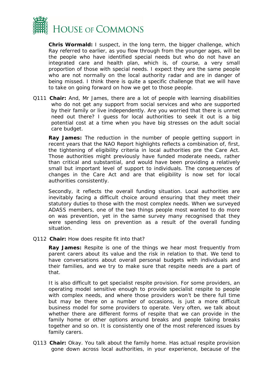

*Chris Wormald:* I suspect, in the long term, the bigger challenge, which Ray referred to earlier, as you flow through from the younger ages, will be the people who have identified special needs but who do not have an integrated care and health plan, which is, of course, a very small proportion of those with special needs. I expect they are the same people who are not normally on the local authority radar and are in danger of being missed. I think there is quite a specific challenge that we will have to take on going forward on how we get to those people.

Q111 **Chair:** And, Mr James, there are a lot of people with learning disabilities who do not get any support from social services and who are supported by their family or live independently. Are you worried that there is unmet need out there? I guess for local authorities to seek it out is a big potential cost at a time when you have big stresses on the adult social care budget.

*Ray James:* The reduction in the number of people getting support in recent years that the NAO Report highlights reflects a combination of, first, the tightening of eligibility criteria in local authorities pre the Care Act. Those authorities might previously have funded moderate needs, rather than critical and substantial, and would have been providing a relatively small but important level of support to individuals. The consequences of changes in the Care Act and are that eligibility is now set for local authorities consistently.

Secondly, it reflects the overall funding situation. Local authorities are inevitably facing a difficult choice around ensuring that they meet their statutory duties to those with the most complex needs. When we surveyed ADASS members, one of the two things people most wanted to do more on was prevention, yet in the same survey many recognised that they were spending less on prevention as a result of the overall funding situation.

Q112 **Chair:** How does respite fit into that?

**Ray James:** Respite is one of the things we hear most frequently from parent carers about its value and the risk in relation to that. We tend to have conversations about overall personal budgets with individuals and their families, and we try to make sure that respite needs are a part of that.

It is also difficult to get specialist respite provision. For some providers, an operating model sensitive enough to provide specialist respite to people with complex needs, and where those providers won't be there full time but may be there on a number of occasions, is just a more difficult business model for some providers to operate. Very often, we talk about whether there are different forms of respite that we can provide in the family home or other options around breaks and people taking breaks together and so on. It is consistently one of the most referenced issues by family carers.

Q113 **Chair:** Okay. You talk about the family home. Has actual respite provision gone down across local authorities, in your experience, because of the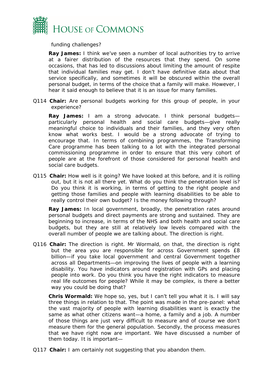

funding challenges?

**Ray James:** I think we've seen a number of local authorities try to arrive at a fairer distribution of the resources that they spend. On some occasions, that has led to discussions about limiting the amount of respite that individual families may get. I don't have definitive data about that service specifically, and sometimes it will be obscured within the overall personal budget, in terms of the choice that a family will make. However, I hear it said enough to believe that it is an issue for many families.

Q114 **Chair:** Are personal budgets working for this group of people, in your experience?

*Ray James:* I am a strong advocate. I think personal budgets particularly personal health and social care budgets—give really meaningful choice to individuals and their families, and they very often know what works best. I would be a strong advocate of trying to encourage that. In terms of combining programmes, the Transforming Care programme has been talking to a lot with the integrated personal commissioning programme in order to ensure that this very cohort of people are at the forefront of those considered for personal health and social care budgets.

Q115 **Chair:** How well is it going? We have looked at this before, and it is rolling out, but it is not all there yet. What do you think the penetration level is? Do you think it is working, in terms of getting to the right people and getting those families and people with learning disabilities to be able to really control their own budget? Is the money following through?

*Ray James:* In local government, broadly, the penetration rates around personal budgets and direct payments are strong and sustained. They are beginning to increase, in terms of the NHS and both health and social care budgets, but they are still at relatively low levels compared with the overall number of people we are talking about. The direction is right.

Q116 **Chair:** The direction is right. Mr Wormald, on that, the direction is right but the area you are responsible for across Government spends £8 billion—if you take local government and central Government together across all Departments—on improving the lives of people with a learning disability. You have indicators around registration with GPs and placing people into work. Do you think you have the right indicators to measure real life outcomes for people? While it may be complex, is there a better way you could be doing that?

*Chris Wormald:* We hope so, yes, but I can't tell you what it is. I will say three things in relation to that. The point was made in the pre-panel: what the vast majority of people with learning disabilities want is exactly the same as what other citizens want—a home, a family and a job. A number of those things are just very difficult to measure and of course we don't measure them for the general population. Secondly, the process measures that we have right now are important. We have discussed a number of them today. It is important—

Q117 **Chair:** I am certainly not suggesting that you abandon them.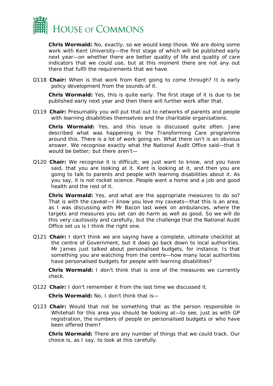

*Chris Wormald:* No, exactly, so we would keep those. We are doing some work with Kent University—the first stage of which will be published early next year—on whether there are better quality of life and quality of care indicators that we could use, but at this moment there are not any out there that fulfil the requirements that we have.

Q118 **Chair:** When is that work from Kent going to come through? It is early policy development from the sounds of it.

*Chris Wormald:* Yes, this is quite early. The first stage of it is due to be published early next year and then there will further work after that.

Q119 **Chair:** Presumably you will put that out to networks of parents and people with learning disabilities themselves and the charitable organisations.

*Chris Wormald:* Yes, and this issue is discussed quite often. Jane described what was happening in the Transforming Care programme around this. There is a lot of work going on. What there isn't is an obvious answer. We recognise exactly what the National Audit Office said—that it would be better; but there aren't—

Q120 **Chair:** We recognise it is difficult; we just want to know, and you have said, that you are looking at it. Kent is looking at it, and then you are going to talk to parents and people with learning disabilities about it. As you say, it is not rocket science. People want a home and a job and good health and the rest of it.

*Chris Wormald:* Yes, and what are the appropriate measures to do so? That is with the caveat—I know you love my caveats—that this is an area, as I was discussing with Mr Bacon last week on ambulances, where the targets and measures you set can do harm as well as good. So we will do this very cautiously and carefully, but the challenge that the National Audit Office set us is I think the right one.

Q121 **Chair:** I don't think we are saying have a complete, ultimate checklist at the centre of Government, but it does go back down to local authorities. Mr James just talked about personalised budgets, for instance. Is that something you are watching from the centre—how many local authorities have personalised budgets for people with learning disabilities?

*Chris Wormald:* I don't think that is one of the measures we currently check.

Q122 **Chair:** I don't remember it from the last time we discussed it.

*Chris Wormald:* No, I don't think that is—

Q123 **Chair:** Would that not be something that as the person responsible in Whitehall for this area you should be looking at—to see, just as with GP registration, the numbers of people on personalised budgets or who have been offered them?

*Chris Wormald:* There are any number of things that we could track. Our choice is, as I say, to look at this carefully.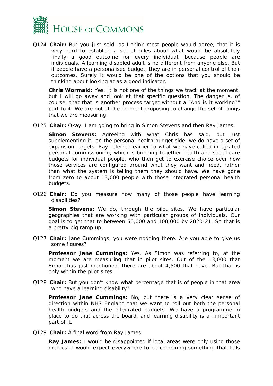

Q124 **Chair:** But you just said, as I think most people would agree, that it is very hard to establish a set of rules about what would be absolutely finally a good outcome for every individual, because people are individuals. A learning disabled adult is no different from anyone else. But if people have a personalised budget, they are in personal control of their outcomes. Surely it would be one of the options that you should be thinking about looking at as a good indicator.

*Chris Wormald:* Yes. It is not one of the things we track at the moment, but I will go away and look at that specific question. The danger is, of course, that that is another process target without a "And is it working?" part to it. We are not at the moment proposing to change the set of things that we are measuring.

Q125 **Chair:** Okay. I am going to bring in Simon Stevens and then Ray James.

*Simon Stevens:* Agreeing with what Chris has said, but just supplementing it: on the personal health budget side, we do have a set of expansion targets. Ray referred earlier to what we have called integrated personal commissioning, which is bringing together health and social care budgets for individual people, who then get to exercise choice over how those services are configured around what they want and need, rather than what the system is telling them they should have. We have gone from zero to about 13,000 people with those integrated personal health budgets.

Q126 **Chair:** Do you measure how many of those people have learning disabilities?

*Simon Stevens:* We do, through the pilot sites. We have particular geographies that are working with particular groups of individuals. Our goal is to get that to between 50,000 and 100,000 by 2020-21. So that is a pretty big ramp up.

Q127 **Chair:** Jane Cummings, you were nodding there. Are you able to give us some figures?

*Professor Jane Cummings:* Yes. As Simon was referring to, at the moment we are measuring that in pilot sites. Out of the 13,000 that Simon has just mentioned, there are about 4,500 that have. But that is only within the pilot sites.

Q128 **Chair:** But you don't know what percentage that is of people in that area who have a learning disability?

*Professor Jane Cummings:* No, but there is a very clear sense of direction within NHS England that we want to roll out both the personal health budgets and the integrated budgets. We have a programme in place to do that across the board, and learning disability is an important part of it.

Q129 **Chair:** A final word from Ray James.

**Ray James:** I would be disappointed if local areas were only using those metrics. I would expect everywhere to be combining something that tells